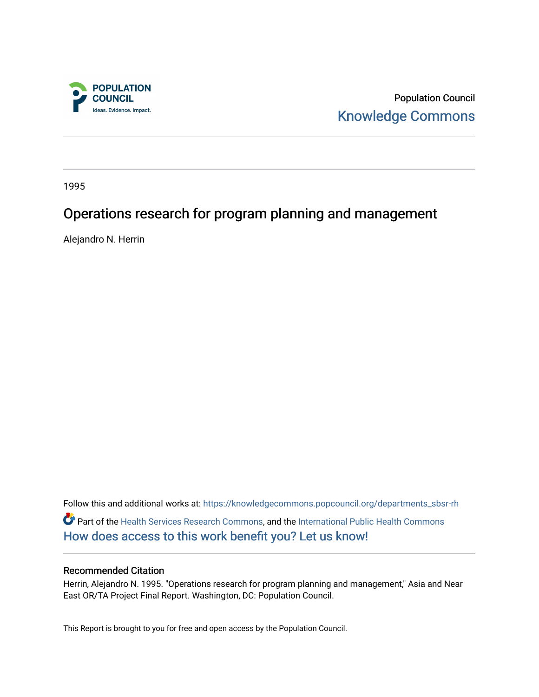

Population Council [Knowledge Commons](https://knowledgecommons.popcouncil.org/) 

1995

# Operations research for program planning and management

Alejandro N. Herrin

Follow this and additional works at: [https://knowledgecommons.popcouncil.org/departments\\_sbsr-rh](https://knowledgecommons.popcouncil.org/departments_sbsr-rh?utm_source=knowledgecommons.popcouncil.org%2Fdepartments_sbsr-rh%2F2101&utm_medium=PDF&utm_campaign=PDFCoverPages)  Part of the [Health Services Research Commons,](https://network.bepress.com/hgg/discipline/816?utm_source=knowledgecommons.popcouncil.org%2Fdepartments_sbsr-rh%2F2101&utm_medium=PDF&utm_campaign=PDFCoverPages) and the [International Public Health Commons](https://network.bepress.com/hgg/discipline/746?utm_source=knowledgecommons.popcouncil.org%2Fdepartments_sbsr-rh%2F2101&utm_medium=PDF&utm_campaign=PDFCoverPages)  [How does access to this work benefit you? Let us know!](https://pcouncil.wufoo.com/forms/open-access-to-population-council-research/)

#### Recommended Citation

Herrin, Alejandro N. 1995. "Operations research for program planning and management," Asia and Near East OR/TA Project Final Report. Washington, DC: Population Council.

This Report is brought to you for free and open access by the Population Council.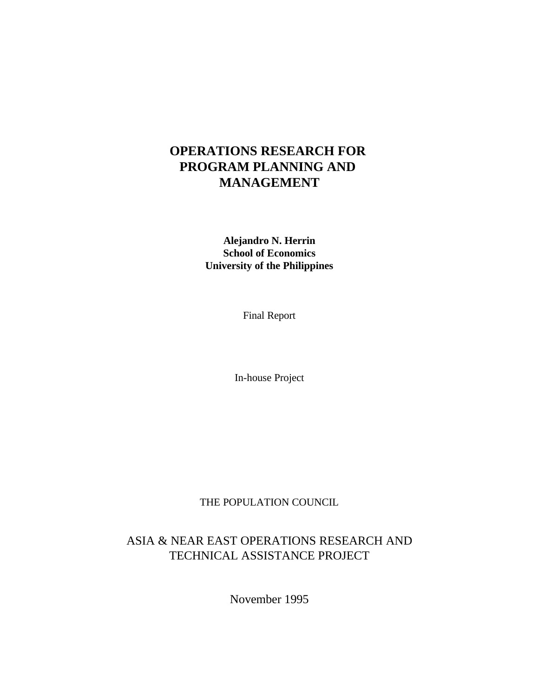# **OPERATIONS RESEARCH FOR PROGRAM PLANNING AND MANAGEMENT**

**Alejandro N. Herrin School of Economics University of the Philippines**

Final Report

In-house Project

THE POPULATION COUNCIL

## ASIA & NEAR EAST OPERATIONS RESEARCH AND TECHNICAL ASSISTANCE PROJECT

November 1995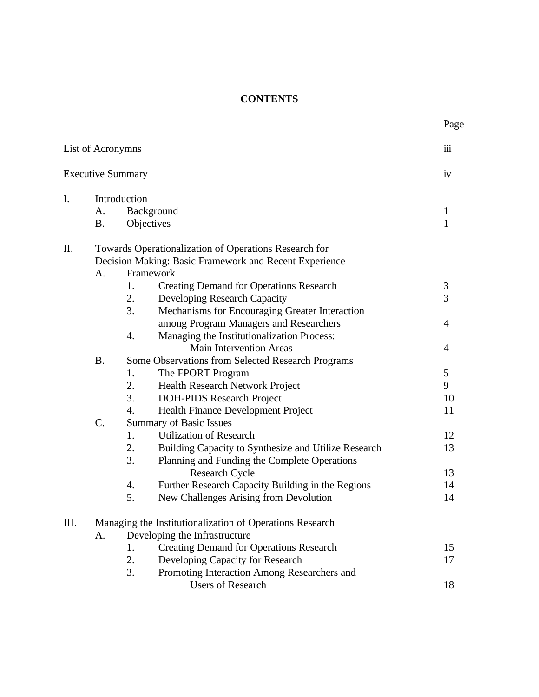## **CONTENTS**

|                | List of Acronymns        |                  |                                                          | iii            |
|----------------|--------------------------|------------------|----------------------------------------------------------|----------------|
|                | <b>Executive Summary</b> |                  |                                                          | iv             |
| $\mathbf{I}$ . |                          | Introduction     |                                                          |                |
|                | A.                       |                  | Background                                               | 1              |
|                | <b>B.</b>                |                  | Objectives                                               | $\mathbf{1}$   |
| Π.             |                          |                  | Towards Operationalization of Operations Research for    |                |
|                |                          |                  | Decision Making: Basic Framework and Recent Experience   |                |
|                | A <sub>1</sub>           |                  | Framework                                                |                |
|                |                          | 1.               | <b>Creating Demand for Operations Research</b>           | $\mathfrak{Z}$ |
|                |                          | 2.               | Developing Research Capacity                             | 3              |
|                |                          | 3.               | Mechanisms for Encouraging Greater Interaction           |                |
|                |                          |                  | among Program Managers and Researchers                   | $\overline{4}$ |
|                |                          | 4.               | Managing the Institutionalization Process:               |                |
|                |                          |                  | <b>Main Intervention Areas</b>                           | 4              |
|                | <b>B.</b>                |                  | Some Observations from Selected Research Programs        |                |
|                |                          | 1.               | The FPORT Program                                        | 5              |
|                |                          | 2.               | Health Research Network Project                          | 9              |
|                |                          | 3.               | <b>DOH-PIDS Research Project</b>                         | 10             |
|                |                          | $\overline{4}$ . | Health Finance Development Project                       | 11             |
|                | C.                       |                  | <b>Summary of Basic Issues</b>                           |                |
|                |                          | 1.               | <b>Utilization of Research</b>                           | 12             |
|                |                          | 2.               | Building Capacity to Synthesize and Utilize Research     | 13             |
|                |                          | 3.               | Planning and Funding the Complete Operations             |                |
|                |                          |                  | <b>Research Cycle</b>                                    | 13             |
|                |                          | 4.               | Further Research Capacity Building in the Regions        | 14             |
|                |                          | 5.               | New Challenges Arising from Devolution                   | 14             |
| III.           |                          |                  | Managing the Institutionalization of Operations Research |                |
|                | A <sub>1</sub>           |                  | Developing the Infrastructure                            |                |
|                |                          | 1.               | <b>Creating Demand for Operations Research</b>           | 15             |
|                |                          | 2.               | Developing Capacity for Research                         | 17             |
|                |                          | 3.               | Promoting Interaction Among Researchers and              |                |
|                |                          |                  | <b>Users of Research</b>                                 | 18             |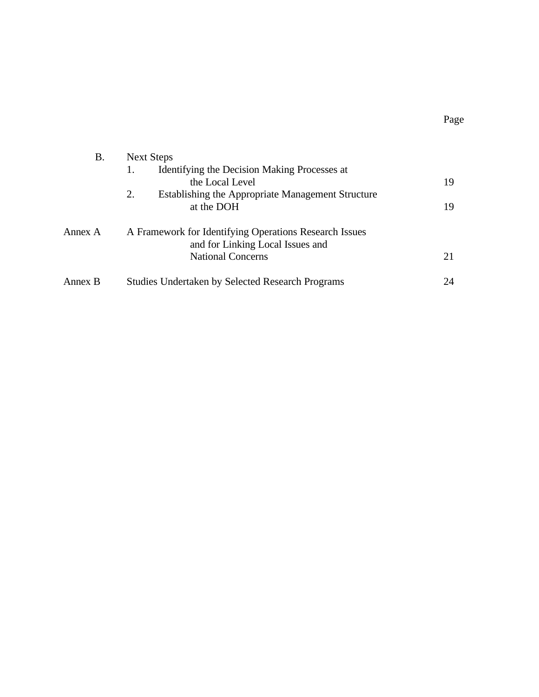| B.      | Next Steps                                              |    |
|---------|---------------------------------------------------------|----|
|         | Identifying the Decision Making Processes at<br>1.      |    |
|         | the Local Level                                         | 19 |
|         | 2.<br>Establishing the Appropriate Management Structure |    |
|         | at the DOH                                              | 19 |
| Annex A | A Framework for Identifying Operations Research Issues  |    |
|         | and for Linking Local Issues and                        |    |
|         | <b>National Concerns</b>                                | 21 |
| Annex B | <b>Studies Undertaken by Selected Research Programs</b> | 24 |

Page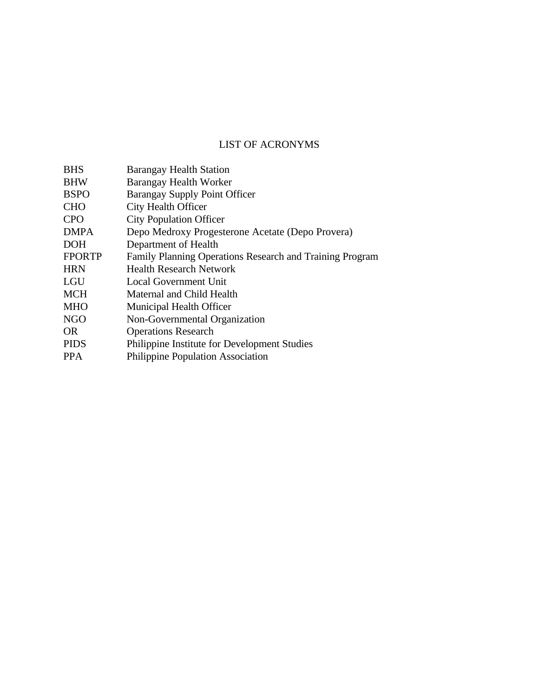## LIST OF ACRONYMS

| <b>BHS</b>    | <b>Barangay Health Station</b>                           |
|---------------|----------------------------------------------------------|
| <b>BHW</b>    | Barangay Health Worker                                   |
| <b>BSPO</b>   | Barangay Supply Point Officer                            |
| <b>CHO</b>    | City Health Officer                                      |
| <b>CPO</b>    | <b>City Population Officer</b>                           |
| <b>DMPA</b>   | Depo Medroxy Progesterone Acetate (Depo Provera)         |
| <b>DOH</b>    | Department of Health                                     |
| <b>FPORTP</b> | Family Planning Operations Research and Training Program |
| <b>HRN</b>    | <b>Health Research Network</b>                           |
| LGU           | Local Government Unit                                    |
| <b>MCH</b>    | Maternal and Child Health                                |
| <b>MHO</b>    | Municipal Health Officer                                 |
| <b>NGO</b>    | Non-Governmental Organization                            |
| OR.           | <b>Operations Research</b>                               |
| <b>PIDS</b>   | Philippine Institute for Development Studies             |
| <b>PPA</b>    | <b>Philippine Population Association</b>                 |
|               |                                                          |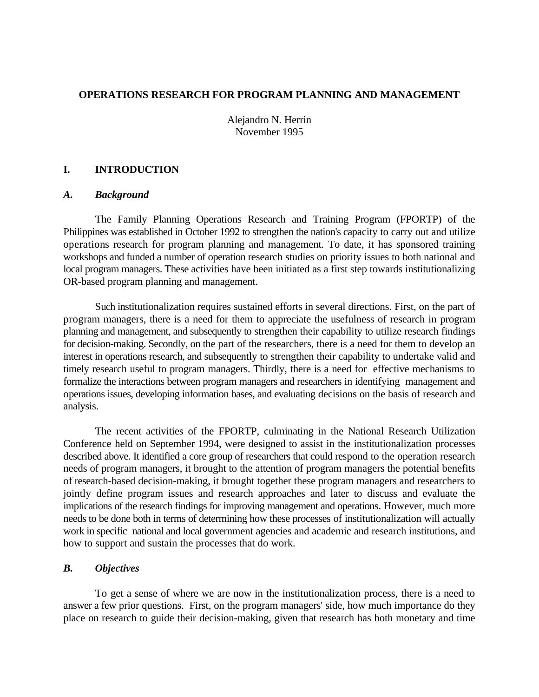## **OPERATIONS RESEARCH FOR PROGRAM PLANNING AND MANAGEMENT**

Alejandro N. Herrin November 1995

## **I. INTRODUCTION**

#### *A. Background*

The Family Planning Operations Research and Training Program (FPORTP) of the Philippines was established in October 1992 to strengthen the nation's capacity to carry out and utilize operations research for program planning and management. To date, it has sponsored training workshops and funded a number of operation research studies on priority issues to both national and local program managers. These activities have been initiated as a first step towards institutionalizing OR-based program planning and management.

Such institutionalization requires sustained efforts in several directions. First, on the part of program managers, there is a need for them to appreciate the usefulness of research in program planning and management, and subsequently to strengthen their capability to utilize research findings for decision-making. Secondly, on the part of the researchers, there is a need for them to develop an interest in operations research, and subsequently to strengthen their capability to undertake valid and timely research useful to program managers. Thirdly, there is a need for effective mechanisms to formalize the interactions between program managers and researchers in identifying management and operations issues, developing information bases, and evaluating decisions on the basis of research and analysis.

The recent activities of the FPORTP, culminating in the National Research Utilization Conference held on September 1994, were designed to assist in the institutionalization processes described above. It identified a core group of researchers that could respond to the operation research needs of program managers, it brought to the attention of program managers the potential benefits of research-based decision-making, it brought together these program managers and researchers to jointly define program issues and research approaches and later to discuss and evaluate the implications of the research findings for improving management and operations. However, much more needs to be done both in terms of determining how these processes of institutionalization will actually work in specific national and local government agencies and academic and research institutions, and how to support and sustain the processes that do work.

#### *B. Objectives*

To get a sense of where we are now in the institutionalization process, there is a need to answer a few prior questions. First, on the program managers' side, how much importance do they place on research to guide their decision-making, given that research has both monetary and time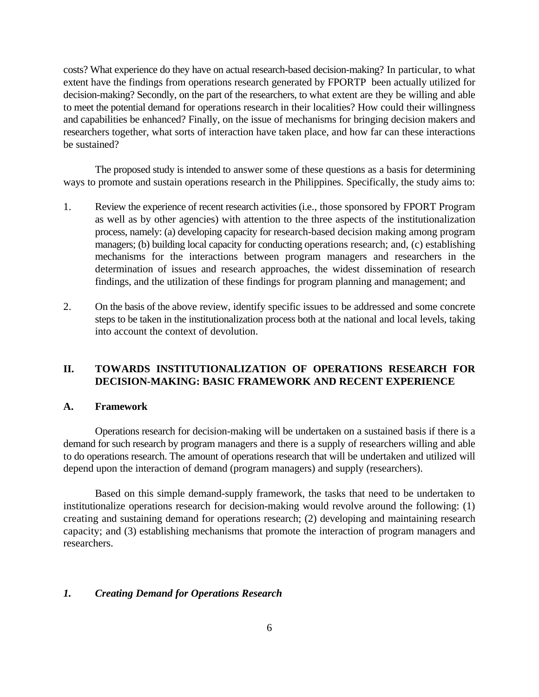costs? What experience do they have on actual research-based decision-making? In particular, to what extent have the findings from operations research generated by FPORTP been actually utilized for decision-making? Secondly, on the part of the researchers, to what extent are they be willing and able to meet the potential demand for operations research in their localities? How could their willingness and capabilities be enhanced? Finally, on the issue of mechanisms for bringing decision makers and researchers together, what sorts of interaction have taken place, and how far can these interactions be sustained?

The proposed study is intended to answer some of these questions as a basis for determining ways to promote and sustain operations research in the Philippines. Specifically, the study aims to:

- 1. Review the experience of recent research activities (i.e., those sponsored by FPORT Program as well as by other agencies) with attention to the three aspects of the institutionalization process, namely: (a) developing capacity for research-based decision making among program managers; (b) building local capacity for conducting operations research; and, (c) establishing mechanisms for the interactions between program managers and researchers in the determination of issues and research approaches, the widest dissemination of research findings, and the utilization of these findings for program planning and management; and
- 2. On the basis of the above review, identify specific issues to be addressed and some concrete steps to be taken in the institutionalization process both at the national and local levels, taking into account the context of devolution.

## **II. TOWARDS INSTITUTIONALIZATION OF OPERATIONS RESEARCH FOR DECISION-MAKING: BASIC FRAMEWORK AND RECENT EXPERIENCE**

#### **A. Framework**

Operations research for decision-making will be undertaken on a sustained basis if there is a demand for such research by program managers and there is a supply of researchers willing and able to do operations research. The amount of operations research that will be undertaken and utilized will depend upon the interaction of demand (program managers) and supply (researchers).

Based on this simple demand-supply framework, the tasks that need to be undertaken to institutionalize operations research for decision-making would revolve around the following: (1) creating and sustaining demand for operations research; (2) developing and maintaining research capacity; and (3) establishing mechanisms that promote the interaction of program managers and researchers.

#### *1. Creating Demand for Operations Research*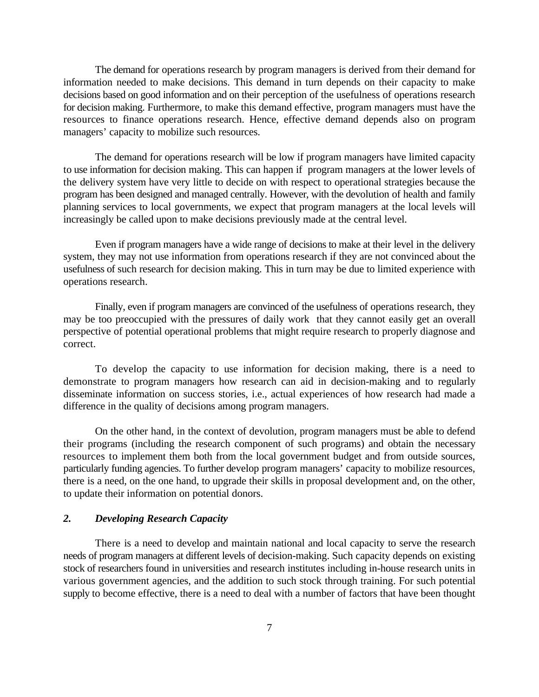The demand for operations research by program managers is derived from their demand for information needed to make decisions. This demand in turn depends on their capacity to make decisions based on good information and on their perception of the usefulness of operations research for decision making. Furthermore, to make this demand effective, program managers must have the resources to finance operations research. Hence, effective demand depends also on program managers' capacity to mobilize such resources.

The demand for operations research will be low if program managers have limited capacity to use information for decision making. This can happen if program managers at the lower levels of the delivery system have very little to decide on with respect to operational strategies because the program has been designed and managed centrally. However, with the devolution of health and family planning services to local governments, we expect that program managers at the local levels will increasingly be called upon to make decisions previously made at the central level.

Even if program managers have a wide range of decisions to make at their level in the delivery system, they may not use information from operations research if they are not convinced about the usefulness of such research for decision making. This in turn may be due to limited experience with operations research.

Finally, even if program managers are convinced of the usefulness of operations research, they may be too preoccupied with the pressures of daily work that they cannot easily get an overall perspective of potential operational problems that might require research to properly diagnose and correct.

To develop the capacity to use information for decision making, there is a need to demonstrate to program managers how research can aid in decision-making and to regularly disseminate information on success stories, i.e., actual experiences of how research had made a difference in the quality of decisions among program managers.

On the other hand, in the context of devolution, program managers must be able to defend their programs (including the research component of such programs) and obtain the necessary resources to implement them both from the local government budget and from outside sources, particularly funding agencies. To further develop program managers' capacity to mobilize resources, there is a need, on the one hand, to upgrade their skills in proposal development and, on the other, to update their information on potential donors.

## *2. Developing Research Capacity*

There is a need to develop and maintain national and local capacity to serve the research needs of program managers at different levels of decision-making. Such capacity depends on existing stock of researchers found in universities and research institutes including in-house research units in various government agencies, and the addition to such stock through training. For such potential supply to become effective, there is a need to deal with a number of factors that have been thought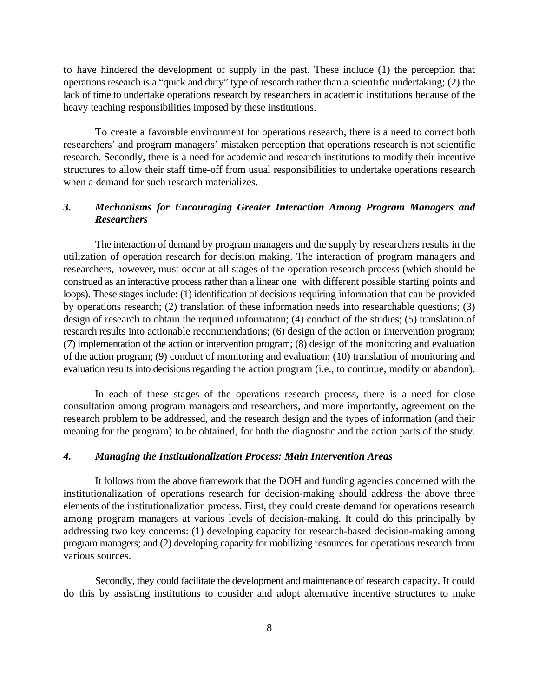to have hindered the development of supply in the past. These include (1) the perception that operations research is a "quick and dirty" type of research rather than a scientific undertaking; (2) the lack of time to undertake operations research by researchers in academic institutions because of the heavy teaching responsibilities imposed by these institutions.

To create a favorable environment for operations research, there is a need to correct both researchers' and program managers' mistaken perception that operations research is not scientific research. Secondly, there is a need for academic and research institutions to modify their incentive structures to allow their staff time-off from usual responsibilities to undertake operations research when a demand for such research materializes.

## *3. Mechanisms for Encouraging Greater Interaction Among Program Managers and Researchers*

The interaction of demand by program managers and the supply by researchers results in the utilization of operation research for decision making. The interaction of program managers and researchers, however, must occur at all stages of the operation research process (which should be construed as an interactive process rather than a linear one with different possible starting points and loops). These stages include: (1) identification of decisions requiring information that can be provided by operations research; (2) translation of these information needs into researchable questions; (3) design of research to obtain the required information; (4) conduct of the studies; (5) translation of research results into actionable recommendations; (6) design of the action or intervention program; (7) implementation of the action or intervention program; (8) design of the monitoring and evaluation of the action program; (9) conduct of monitoring and evaluation; (10) translation of monitoring and evaluation results into decisions regarding the action program (i.e., to continue, modify or abandon).

In each of these stages of the operations research process, there is a need for close consultation among program managers and researchers, and more importantly, agreement on the research problem to be addressed, and the research design and the types of information (and their meaning for the program) to be obtained, for both the diagnostic and the action parts of the study.

#### *4. Managing the Institutionalization Process: Main Intervention Areas*

It follows from the above framework that the DOH and funding agencies concerned with the institutionalization of operations research for decision-making should address the above three elements of the institutionalization process. First, they could create demand for operations research among program managers at various levels of decision-making. It could do this principally by addressing two key concerns: (1) developing capacity for research-based decision-making among program managers; and (2) developing capacity for mobilizing resources for operations research from various sources.

Secondly, they could facilitate the development and maintenance of research capacity. It could do this by assisting institutions to consider and adopt alternative incentive structures to make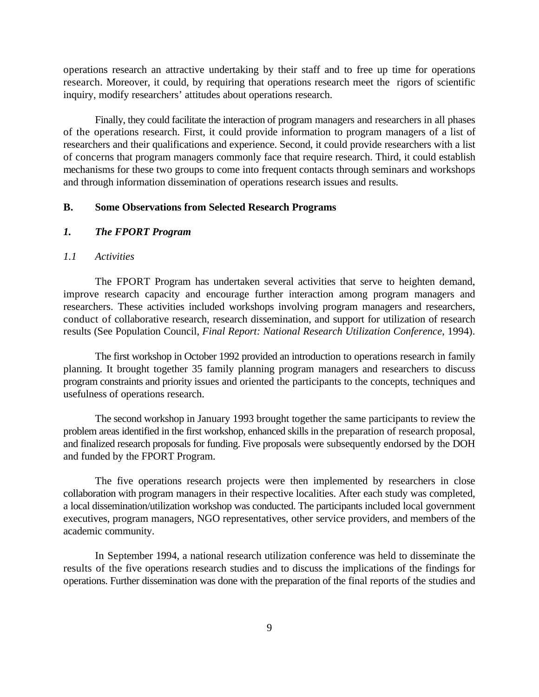operations research an attractive undertaking by their staff and to free up time for operations research. Moreover, it could, by requiring that operations research meet the rigors of scientific inquiry, modify researchers' attitudes about operations research.

Finally, they could facilitate the interaction of program managers and researchers in all phases of the operations research. First, it could provide information to program managers of a list of researchers and their qualifications and experience. Second, it could provide researchers with a list of concerns that program managers commonly face that require research. Third, it could establish mechanisms for these two groups to come into frequent contacts through seminars and workshops and through information dissemination of operations research issues and results.

#### **B. Some Observations from Selected Research Programs**

## *1. The FPORT Program*

### *1.1 Activities*

The FPORT Program has undertaken several activities that serve to heighten demand, improve research capacity and encourage further interaction among program managers and researchers. These activities included workshops involving program managers and researchers, conduct of collaborative research, research dissemination, and support for utilization of research results (See Population Council, *Final Report: National Research Utilization Conference*, 1994).

The first workshop in October 1992 provided an introduction to operations research in family planning. It brought together 35 family planning program managers and researchers to discuss program constraints and priority issues and oriented the participants to the concepts, techniques and usefulness of operations research.

The second workshop in January 1993 brought together the same participants to review the problem areas identified in the first workshop, enhanced skills in the preparation of research proposal, and finalized research proposals for funding. Five proposals were subsequently endorsed by the DOH and funded by the FPORT Program.

The five operations research projects were then implemented by researchers in close collaboration with program managers in their respective localities. After each study was completed, a local dissemination/utilization workshop was conducted. The participants included local government executives, program managers, NGO representatives, other service providers, and members of the academic community.

In September 1994, a national research utilization conference was held to disseminate the results of the five operations research studies and to discuss the implications of the findings for operations. Further dissemination was done with the preparation of the final reports of the studies and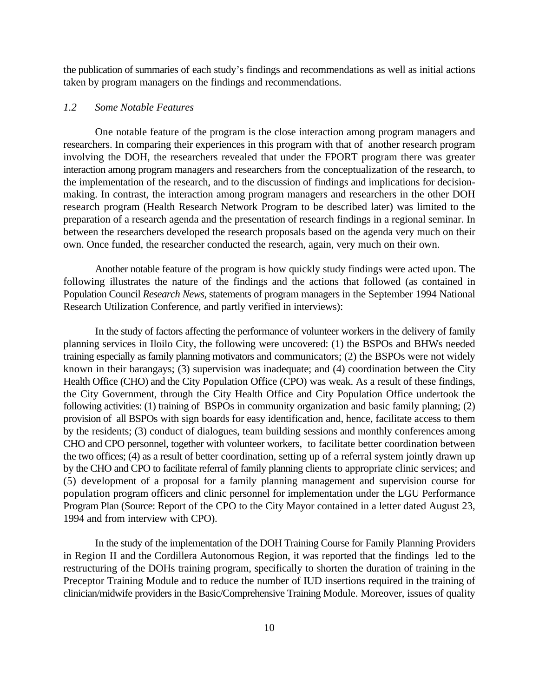the publication of summaries of each study's findings and recommendations as well as initial actions taken by program managers on the findings and recommendations.

## *1.2 Some Notable Features*

One notable feature of the program is the close interaction among program managers and researchers. In comparing their experiences in this program with that of another research program involving the DOH, the researchers revealed that under the FPORT program there was greater interaction among program managers and researchers from the conceptualization of the research, to the implementation of the research, and to the discussion of findings and implications for decisionmaking. In contrast, the interaction among program managers and researchers in the other DOH research program (Health Research Network Program to be described later) was limited to the preparation of a research agenda and the presentation of research findings in a regional seminar. In between the researchers developed the research proposals based on the agenda very much on their own. Once funded, the researcher conducted the research, again, very much on their own.

Another notable feature of the program is how quickly study findings were acted upon. The following illustrates the nature of the findings and the actions that followed (as contained in Population Council *Research News*, statements of program managers in the September 1994 National Research Utilization Conference, and partly verified in interviews):

In the study of factors affecting the performance of volunteer workers in the delivery of family planning services in Iloilo City, the following were uncovered: (1) the BSPOs and BHWs needed training especially as family planning motivators and communicators; (2) the BSPOs were not widely known in their barangays; (3) supervision was inadequate; and (4) coordination between the City Health Office (CHO) and the City Population Office (CPO) was weak. As a result of these findings, the City Government, through the City Health Office and City Population Office undertook the following activities: (1) training of BSPOs in community organization and basic family planning; (2) provision of all BSPOs with sign boards for easy identification and, hence, facilitate access to them by the residents; (3) conduct of dialogues, team building sessions and monthly conferences among CHO and CPO personnel, together with volunteer workers, to facilitate better coordination between the two offices; (4) as a result of better coordination, setting up of a referral system jointly drawn up by the CHO and CPO to facilitate referral of family planning clients to appropriate clinic services; and (5) development of a proposal for a family planning management and supervision course for population program officers and clinic personnel for implementation under the LGU Performance Program Plan (Source: Report of the CPO to the City Mayor contained in a letter dated August 23, 1994 and from interview with CPO).

In the study of the implementation of the DOH Training Course for Family Planning Providers in Region II and the Cordillera Autonomous Region, it was reported that the findings led to the restructuring of the DOHs training program, specifically to shorten the duration of training in the Preceptor Training Module and to reduce the number of IUD insertions required in the training of clinician/midwife providers in the Basic/Comprehensive Training Module. Moreover, issues of quality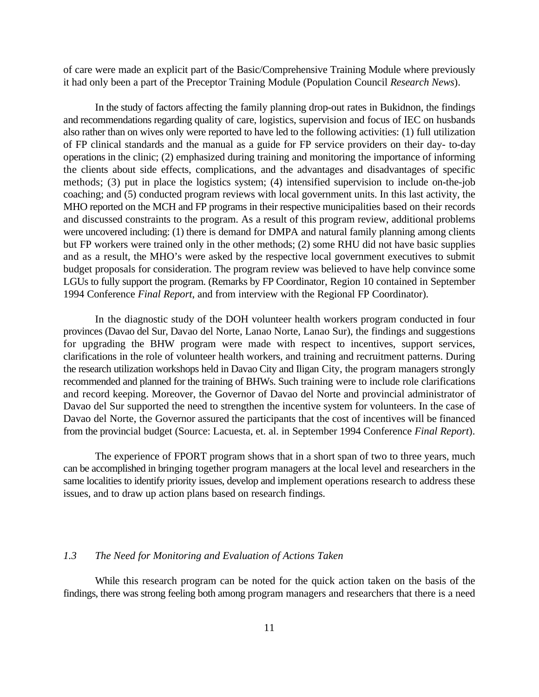of care were made an explicit part of the Basic/Comprehensive Training Module where previously it had only been a part of the Preceptor Training Module (Population Council *Research News*).

In the study of factors affecting the family planning drop-out rates in Bukidnon, the findings and recommendations regarding quality of care, logistics, supervision and focus of IEC on husbands also rather than on wives only were reported to have led to the following activities: (1) full utilization of FP clinical standards and the manual as a guide for FP service providers on their day- to-day operations in the clinic; (2) emphasized during training and monitoring the importance of informing the clients about side effects, complications, and the advantages and disadvantages of specific methods; (3) put in place the logistics system; (4) intensified supervision to include on-the-job coaching; and (5) conducted program reviews with local government units. In this last activity, the MHO reported on the MCH and FP programs in their respective municipalities based on their records and discussed constraints to the program. As a result of this program review, additional problems were uncovered including: (1) there is demand for DMPA and natural family planning among clients but FP workers were trained only in the other methods; (2) some RHU did not have basic supplies and as a result, the MHO's were asked by the respective local government executives to submit budget proposals for consideration. The program review was believed to have help convince some LGUs to fully support the program. (Remarks by FP Coordinator, Region 10 contained in September 1994 Conference *Final Report*, and from interview with the Regional FP Coordinator).

In the diagnostic study of the DOH volunteer health workers program conducted in four provinces (Davao del Sur, Davao del Norte, Lanao Norte, Lanao Sur), the findings and suggestions for upgrading the BHW program were made with respect to incentives, support services, clarifications in the role of volunteer health workers, and training and recruitment patterns. During the research utilization workshops held in Davao City and Iligan City, the program managers strongly recommended and planned for the training of BHWs. Such training were to include role clarifications and record keeping. Moreover, the Governor of Davao del Norte and provincial administrator of Davao del Sur supported the need to strengthen the incentive system for volunteers. In the case of Davao del Norte, the Governor assured the participants that the cost of incentives will be financed from the provincial budget (Source: Lacuesta, et. al. in September 1994 Conference *Final Report*).

The experience of FPORT program shows that in a short span of two to three years, much can be accomplished in bringing together program managers at the local level and researchers in the same localities to identify priority issues, develop and implement operations research to address these issues, and to draw up action plans based on research findings.

## *1.3 The Need for Monitoring and Evaluation of Actions Taken*

While this research program can be noted for the quick action taken on the basis of the findings, there was strong feeling both among program managers and researchers that there is a need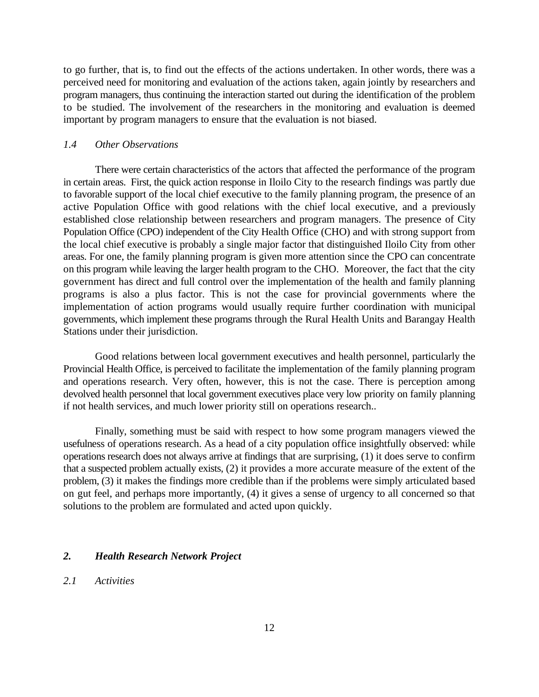to go further, that is, to find out the effects of the actions undertaken. In other words, there was a perceived need for monitoring and evaluation of the actions taken, again jointly by researchers and program managers, thus continuing the interaction started out during the identification of the problem to be studied. The involvement of the researchers in the monitoring and evaluation is deemed important by program managers to ensure that the evaluation is not biased.

#### *1.4 Other Observations*

There were certain characteristics of the actors that affected the performance of the program in certain areas. First, the quick action response in Iloilo City to the research findings was partly due to favorable support of the local chief executive to the family planning program, the presence of an active Population Office with good relations with the chief local executive, and a previously established close relationship between researchers and program managers. The presence of City Population Office (CPO) independent of the City Health Office (CHO) and with strong support from the local chief executive is probably a single major factor that distinguished Iloilo City from other areas. For one, the family planning program is given more attention since the CPO can concentrate on this program while leaving the larger health program to the CHO. Moreover, the fact that the city government has direct and full control over the implementation of the health and family planning programs is also a plus factor. This is not the case for provincial governments where the implementation of action programs would usually require further coordination with municipal governments, which implement these programs through the Rural Health Units and Barangay Health Stations under their jurisdiction.

Good relations between local government executives and health personnel, particularly the Provincial Health Office, is perceived to facilitate the implementation of the family planning program and operations research. Very often, however, this is not the case. There is perception among devolved health personnel that local government executives place very low priority on family planning if not health services, and much lower priority still on operations research..

Finally, something must be said with respect to how some program managers viewed the usefulness of operations research. As a head of a city population office insightfully observed: while operations research does not always arrive at findings that are surprising, (1) it does serve to confirm that a suspected problem actually exists, (2) it provides a more accurate measure of the extent of the problem, (3) it makes the findings more credible than if the problems were simply articulated based on gut feel, and perhaps more importantly, (4) it gives a sense of urgency to all concerned so that solutions to the problem are formulated and acted upon quickly.

#### *2. Health Research Network Project*

*2.1 Activities*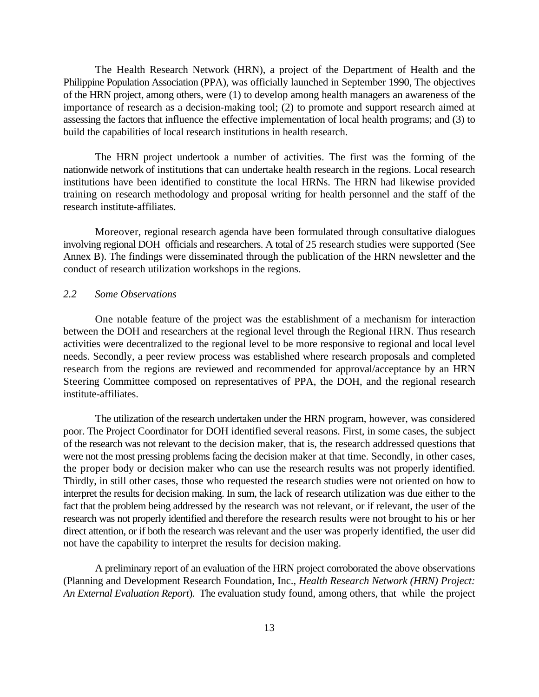The Health Research Network (HRN), a project of the Department of Health and the Philippine Population Association (PPA), was officially launched in September 1990, The objectives of the HRN project, among others, were (1) to develop among health managers an awareness of the importance of research as a decision-making tool; (2) to promote and support research aimed at assessing the factors that influence the effective implementation of local health programs; and (3) to build the capabilities of local research institutions in health research.

The HRN project undertook a number of activities. The first was the forming of the nationwide network of institutions that can undertake health research in the regions. Local research institutions have been identified to constitute the local HRNs. The HRN had likewise provided training on research methodology and proposal writing for health personnel and the staff of the research institute-affiliates.

Moreover, regional research agenda have been formulated through consultative dialogues involving regional DOH officials and researchers. A total of 25 research studies were supported (See Annex B). The findings were disseminated through the publication of the HRN newsletter and the conduct of research utilization workshops in the regions.

#### *2.2 Some Observations*

One notable feature of the project was the establishment of a mechanism for interaction between the DOH and researchers at the regional level through the Regional HRN. Thus research activities were decentralized to the regional level to be more responsive to regional and local level needs. Secondly, a peer review process was established where research proposals and completed research from the regions are reviewed and recommended for approval/acceptance by an HRN Steering Committee composed on representatives of PPA, the DOH, and the regional research institute-affiliates.

The utilization of the research undertaken under the HRN program, however, was considered poor. The Project Coordinator for DOH identified several reasons. First, in some cases, the subject of the research was not relevant to the decision maker, that is, the research addressed questions that were not the most pressing problems facing the decision maker at that time. Secondly, in other cases, the proper body or decision maker who can use the research results was not properly identified. Thirdly, in still other cases, those who requested the research studies were not oriented on how to interpret the results for decision making. In sum, the lack of research utilization was due either to the fact that the problem being addressed by the research was not relevant, or if relevant, the user of the research was not properly identified and therefore the research results were not brought to his or her direct attention, or if both the research was relevant and the user was properly identified, the user did not have the capability to interpret the results for decision making.

A preliminary report of an evaluation of the HRN project corroborated the above observations (Planning and Development Research Foundation, Inc., *Health Research Network (HRN) Project: An External Evaluation Report*). The evaluation study found, among others, that while the project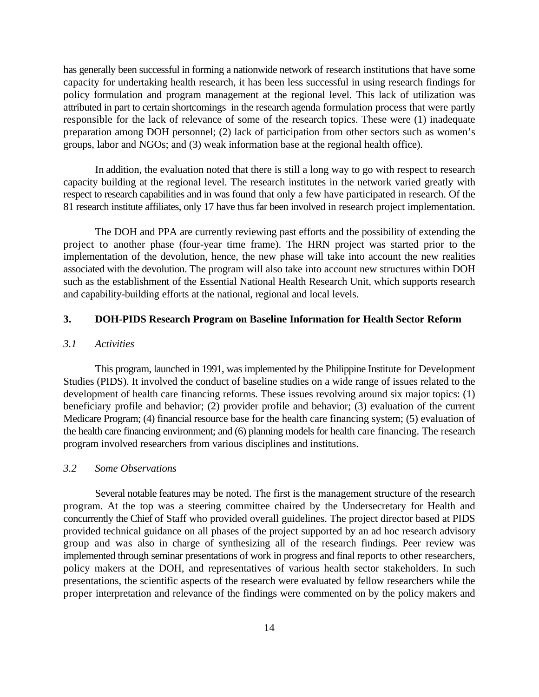has generally been successful in forming a nationwide network of research institutions that have some capacity for undertaking health research, it has been less successful in using research findings for policy formulation and program management at the regional level. This lack of utilization was attributed in part to certain shortcomings in the research agenda formulation process that were partly responsible for the lack of relevance of some of the research topics. These were (1) inadequate preparation among DOH personnel; (2) lack of participation from other sectors such as women's groups, labor and NGOs; and (3) weak information base at the regional health office).

In addition, the evaluation noted that there is still a long way to go with respect to research capacity building at the regional level. The research institutes in the network varied greatly with respect to research capabilities and in was found that only a few have participated in research. Of the 81 research institute affiliates, only 17 have thus far been involved in research project implementation.

The DOH and PPA are currently reviewing past efforts and the possibility of extending the project to another phase (four-year time frame). The HRN project was started prior to the implementation of the devolution, hence, the new phase will take into account the new realities associated with the devolution. The program will also take into account new structures within DOH such as the establishment of the Essential National Health Research Unit, which supports research and capability-building efforts at the national, regional and local levels.

## **3. DOH-PIDS Research Program on Baseline Information for Health Sector Reform**

## *3.1 Activities*

This program, launched in 1991, was implemented by the Philippine Institute for Development Studies (PIDS). It involved the conduct of baseline studies on a wide range of issues related to the development of health care financing reforms. These issues revolving around six major topics: (1) beneficiary profile and behavior; (2) provider profile and behavior; (3) evaluation of the current Medicare Program; (4) financial resource base for the health care financing system; (5) evaluation of the health care financing environment; and (6) planning models for health care financing. The research program involved researchers from various disciplines and institutions.

#### *3.2 Some Observations*

Several notable features may be noted. The first is the management structure of the research program. At the top was a steering committee chaired by the Undersecretary for Health and concurrently the Chief of Staff who provided overall guidelines. The project director based at PIDS provided technical guidance on all phases of the project supported by an ad hoc research advisory group and was also in charge of synthesizing all of the research findings. Peer review was implemented through seminar presentations of work in progress and final reports to other researchers, policy makers at the DOH, and representatives of various health sector stakeholders. In such presentations, the scientific aspects of the research were evaluated by fellow researchers while the proper interpretation and relevance of the findings were commented on by the policy makers and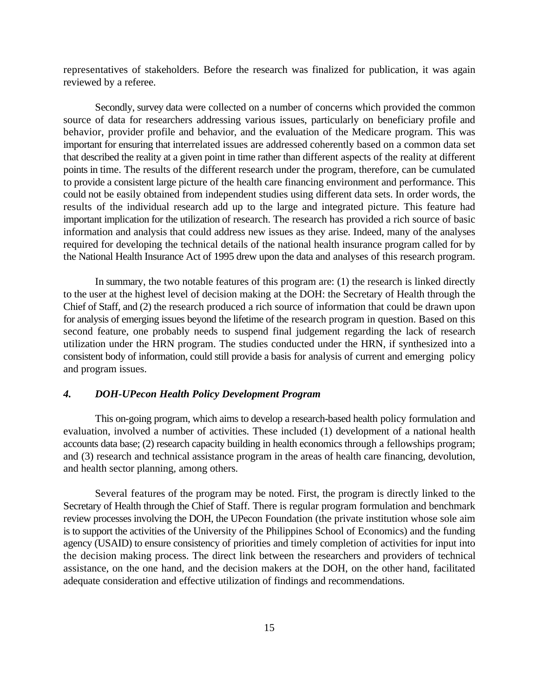representatives of stakeholders. Before the research was finalized for publication, it was again reviewed by a referee.

Secondly, survey data were collected on a number of concerns which provided the common source of data for researchers addressing various issues, particularly on beneficiary profile and behavior, provider profile and behavior, and the evaluation of the Medicare program. This was important for ensuring that interrelated issues are addressed coherently based on a common data set that described the reality at a given point in time rather than different aspects of the reality at different points in time. The results of the different research under the program, therefore, can be cumulated to provide a consistent large picture of the health care financing environment and performance. This could not be easily obtained from independent studies using different data sets. In order words, the results of the individual research add up to the large and integrated picture. This feature had important implication for the utilization of research. The research has provided a rich source of basic information and analysis that could address new issues as they arise. Indeed, many of the analyses required for developing the technical details of the national health insurance program called for by the National Health Insurance Act of 1995 drew upon the data and analyses of this research program.

In summary, the two notable features of this program are: (1) the research is linked directly to the user at the highest level of decision making at the DOH: the Secretary of Health through the Chief of Staff, and (2) the research produced a rich source of information that could be drawn upon for analysis of emerging issues beyond the lifetime of the research program in question. Based on this second feature, one probably needs to suspend final judgement regarding the lack of research utilization under the HRN program. The studies conducted under the HRN, if synthesized into a consistent body of information, could still provide a basis for analysis of current and emerging policy and program issues.

## *4. DOH-UPecon Health Policy Development Program*

This on-going program, which aims to develop a research-based health policy formulation and evaluation, involved a number of activities. These included (1) development of a national health accounts data base; (2) research capacity building in health economics through a fellowships program; and (3) research and technical assistance program in the areas of health care financing, devolution, and health sector planning, among others.

Several features of the program may be noted. First, the program is directly linked to the Secretary of Health through the Chief of Staff. There is regular program formulation and benchmark review processes involving the DOH, the UPecon Foundation (the private institution whose sole aim is to support the activities of the University of the Philippines School of Economics) and the funding agency (USAID) to ensure consistency of priorities and timely completion of activities for input into the decision making process. The direct link between the researchers and providers of technical assistance, on the one hand, and the decision makers at the DOH, on the other hand, facilitated adequate consideration and effective utilization of findings and recommendations.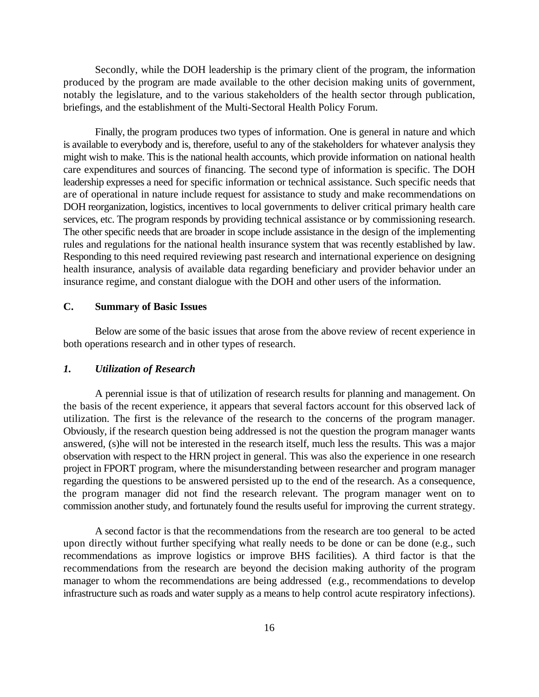Secondly, while the DOH leadership is the primary client of the program, the information produced by the program are made available to the other decision making units of government, notably the legislature, and to the various stakeholders of the health sector through publication, briefings, and the establishment of the Multi-Sectoral Health Policy Forum.

Finally, the program produces two types of information. One is general in nature and which is available to everybody and is, therefore, useful to any of the stakeholders for whatever analysis they might wish to make. This is the national health accounts, which provide information on national health care expenditures and sources of financing. The second type of information is specific. The DOH leadership expresses a need for specific information or technical assistance. Such specific needs that are of operational in nature include request for assistance to study and make recommendations on DOH reorganization, logistics, incentives to local governments to deliver critical primary health care services, etc. The program responds by providing technical assistance or by commissioning research. The other specific needs that are broader in scope include assistance in the design of the implementing rules and regulations for the national health insurance system that was recently established by law. Responding to this need required reviewing past research and international experience on designing health insurance, analysis of available data regarding beneficiary and provider behavior under an insurance regime, and constant dialogue with the DOH and other users of the information.

## **C. Summary of Basic Issues**

Below are some of the basic issues that arose from the above review of recent experience in both operations research and in other types of research.

## *1. Utilization of Research*

A perennial issue is that of utilization of research results for planning and management. On the basis of the recent experience, it appears that several factors account for this observed lack of utilization. The first is the relevance of the research to the concerns of the program manager. Obviously, if the research question being addressed is not the question the program manager wants answered, (s)he will not be interested in the research itself, much less the results. This was a major observation with respect to the HRN project in general. This was also the experience in one research project in FPORT program, where the misunderstanding between researcher and program manager regarding the questions to be answered persisted up to the end of the research. As a consequence, the program manager did not find the research relevant. The program manager went on to commission another study, and fortunately found the results useful for improving the current strategy.

A second factor is that the recommendations from the research are too general to be acted upon directly without further specifying what really needs to be done or can be done (e.g., such recommendations as improve logistics or improve BHS facilities). A third factor is that the recommendations from the research are beyond the decision making authority of the program manager to whom the recommendations are being addressed (e.g., recommendations to develop infrastructure such as roads and water supply as a means to help control acute respiratory infections).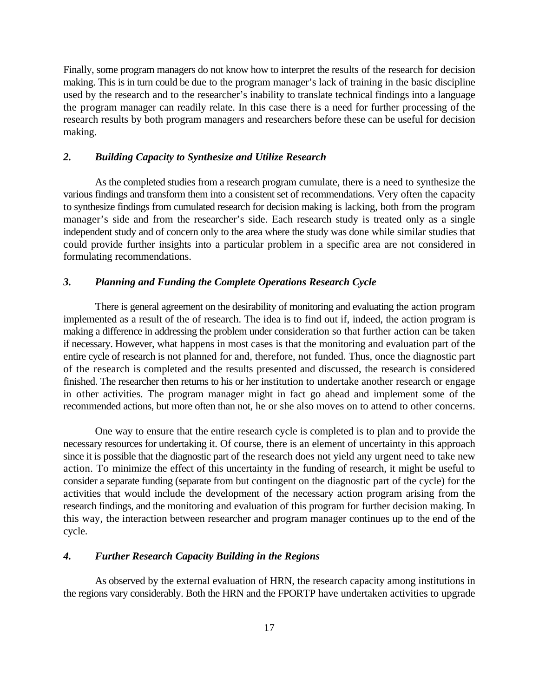Finally, some program managers do not know how to interpret the results of the research for decision making. This is in turn could be due to the program manager's lack of training in the basic discipline used by the research and to the researcher's inability to translate technical findings into a language the program manager can readily relate. In this case there is a need for further processing of the research results by both program managers and researchers before these can be useful for decision making.

#### *2. Building Capacity to Synthesize and Utilize Research*

As the completed studies from a research program cumulate, there is a need to synthesize the various findings and transform them into a consistent set of recommendations. Very often the capacity to synthesize findings from cumulated research for decision making is lacking, both from the program manager's side and from the researcher's side. Each research study is treated only as a single independent study and of concern only to the area where the study was done while similar studies that could provide further insights into a particular problem in a specific area are not considered in formulating recommendations.

#### *3. Planning and Funding the Complete Operations Research Cycle*

There is general agreement on the desirability of monitoring and evaluating the action program implemented as a result of the of research. The idea is to find out if, indeed, the action program is making a difference in addressing the problem under consideration so that further action can be taken if necessary. However, what happens in most cases is that the monitoring and evaluation part of the entire cycle of research is not planned for and, therefore, not funded. Thus, once the diagnostic part of the research is completed and the results presented and discussed, the research is considered finished. The researcher then returns to his or her institution to undertake another research or engage in other activities. The program manager might in fact go ahead and implement some of the recommended actions, but more often than not, he or she also moves on to attend to other concerns.

One way to ensure that the entire research cycle is completed is to plan and to provide the necessary resources for undertaking it. Of course, there is an element of uncertainty in this approach since it is possible that the diagnostic part of the research does not yield any urgent need to take new action. To minimize the effect of this uncertainty in the funding of research, it might be useful to consider a separate funding (separate from but contingent on the diagnostic part of the cycle) for the activities that would include the development of the necessary action program arising from the research findings, and the monitoring and evaluation of this program for further decision making. In this way, the interaction between researcher and program manager continues up to the end of the cycle.

## *4. Further Research Capacity Building in the Regions*

As observed by the external evaluation of HRN, the research capacity among institutions in the regions vary considerably. Both the HRN and the FPORTP have undertaken activities to upgrade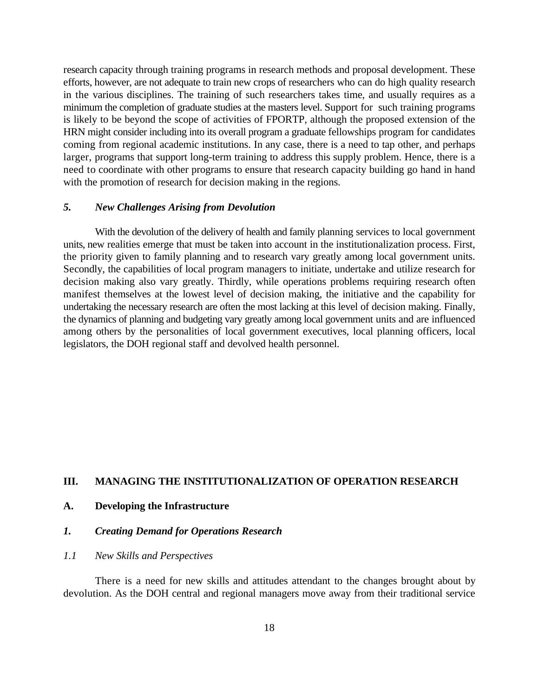research capacity through training programs in research methods and proposal development. These efforts, however, are not adequate to train new crops of researchers who can do high quality research in the various disciplines. The training of such researchers takes time, and usually requires as a minimum the completion of graduate studies at the masters level. Support for such training programs is likely to be beyond the scope of activities of FPORTP, although the proposed extension of the HRN might consider including into its overall program a graduate fellowships program for candidates coming from regional academic institutions. In any case, there is a need to tap other, and perhaps larger, programs that support long-term training to address this supply problem. Hence, there is a need to coordinate with other programs to ensure that research capacity building go hand in hand with the promotion of research for decision making in the regions.

## *5. New Challenges Arising from Devolution*

With the devolution of the delivery of health and family planning services to local government units, new realities emerge that must be taken into account in the institutionalization process. First, the priority given to family planning and to research vary greatly among local government units. Secondly, the capabilities of local program managers to initiate, undertake and utilize research for decision making also vary greatly. Thirdly, while operations problems requiring research often manifest themselves at the lowest level of decision making, the initiative and the capability for undertaking the necessary research are often the most lacking at this level of decision making. Finally, the dynamics of planning and budgeting vary greatly among local government units and are influenced among others by the personalities of local government executives, local planning officers, local legislators, the DOH regional staff and devolved health personnel.

## **III. MANAGING THE INSTITUTIONALIZATION OF OPERATION RESEARCH**

#### **A. Developing the Infrastructure**

#### *1. Creating Demand for Operations Research*

#### *1.1 New Skills and Perspectives*

There is a need for new skills and attitudes attendant to the changes brought about by devolution. As the DOH central and regional managers move away from their traditional service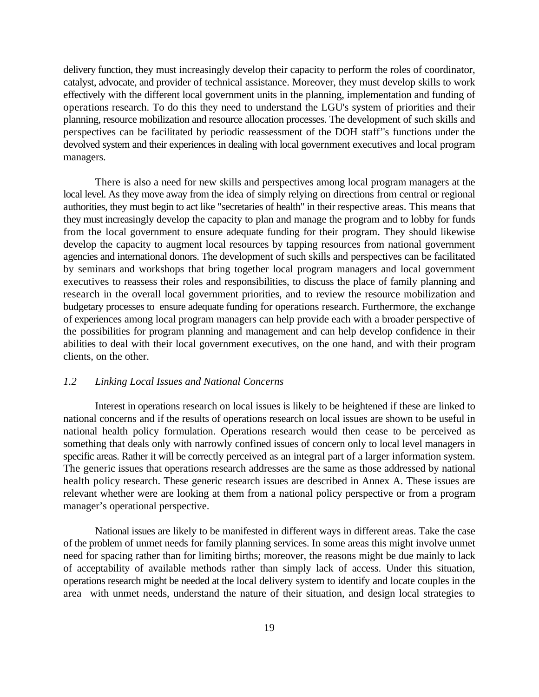delivery function, they must increasingly develop their capacity to perform the roles of coordinator, catalyst, advocate, and provider of technical assistance. Moreover, they must develop skills to work effectively with the different local government units in the planning, implementation and funding of operations research. To do this they need to understand the LGU's system of priorities and their planning, resource mobilization and resource allocation processes. The development of such skills and perspectives can be facilitated by periodic reassessment of the DOH staff''s functions under the devolved system and their experiences in dealing with local government executives and local program managers.

There is also a need for new skills and perspectives among local program managers at the local level. As they move away from the idea of simply relying on directions from central or regional authorities, they must begin to act like "secretaries of health" in their respective areas. This means that they must increasingly develop the capacity to plan and manage the program and to lobby for funds from the local government to ensure adequate funding for their program. They should likewise develop the capacity to augment local resources by tapping resources from national government agencies and international donors. The development of such skills and perspectives can be facilitated by seminars and workshops that bring together local program managers and local government executives to reassess their roles and responsibilities, to discuss the place of family planning and research in the overall local government priorities, and to review the resource mobilization and budgetary processes to ensure adequate funding for operations research. Furthermore, the exchange of experiences among local program managers can help provide each with a broader perspective of the possibilities for program planning and management and can help develop confidence in their abilities to deal with their local government executives, on the one hand, and with their program clients, on the other.

#### *1.2 Linking Local Issues and National Concerns*

Interest in operations research on local issues is likely to be heightened if these are linked to national concerns and if the results of operations research on local issues are shown to be useful in national health policy formulation. Operations research would then cease to be perceived as something that deals only with narrowly confined issues of concern only to local level managers in specific areas. Rather it will be correctly perceived as an integral part of a larger information system. The generic issues that operations research addresses are the same as those addressed by national health policy research. These generic research issues are described in Annex A. These issues are relevant whether were are looking at them from a national policy perspective or from a program manager's operational perspective.

National issues are likely to be manifested in different ways in different areas. Take the case of the problem of unmet needs for family planning services. In some areas this might involve unmet need for spacing rather than for limiting births; moreover, the reasons might be due mainly to lack of acceptability of available methods rather than simply lack of access. Under this situation, operations research might be needed at the local delivery system to identify and locate couples in the area with unmet needs, understand the nature of their situation, and design local strategies to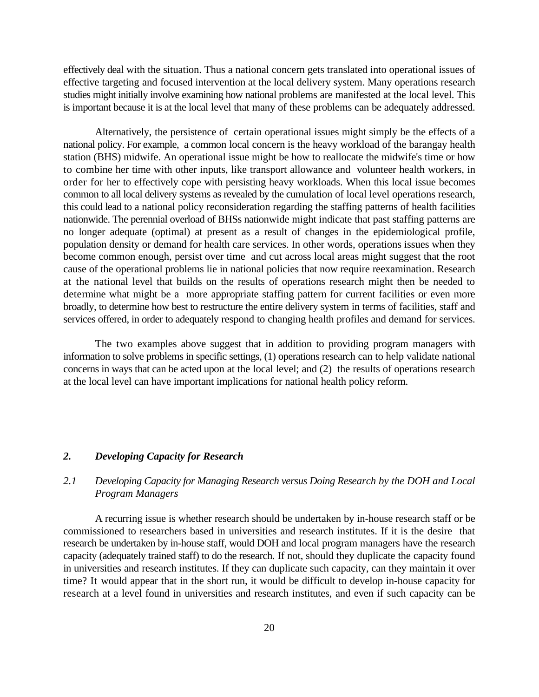effectively deal with the situation. Thus a national concern gets translated into operational issues of effective targeting and focused intervention at the local delivery system. Many operations research studies might initially involve examining how national problems are manifested at the local level. This is important because it is at the local level that many of these problems can be adequately addressed.

Alternatively, the persistence of certain operational issues might simply be the effects of a national policy. For example, a common local concern is the heavy workload of the barangay health station (BHS) midwife. An operational issue might be how to reallocate the midwife's time or how to combine her time with other inputs, like transport allowance and volunteer health workers, in order for her to effectively cope with persisting heavy workloads. When this local issue becomes common to all local delivery systems as revealed by the cumulation of local level operations research, this could lead to a national policy reconsideration regarding the staffing patterns of health facilities nationwide. The perennial overload of BHSs nationwide might indicate that past staffing patterns are no longer adequate (optimal) at present as a result of changes in the epidemiological profile, population density or demand for health care services. In other words, operations issues when they become common enough, persist over time and cut across local areas might suggest that the root cause of the operational problems lie in national policies that now require reexamination. Research at the national level that builds on the results of operations research might then be needed to determine what might be a more appropriate staffing pattern for current facilities or even more broadly, to determine how best to restructure the entire delivery system in terms of facilities, staff and services offered, in order to adequately respond to changing health profiles and demand for services.

The two examples above suggest that in addition to providing program managers with information to solve problems in specific settings, (1) operations research can to help validate national concerns in ways that can be acted upon at the local level; and (2) the results of operations research at the local level can have important implications for national health policy reform.

#### *2. Developing Capacity for Research*

## *2.1 Developing Capacity for Managing Research versus Doing Research by the DOH and Local Program Managers*

A recurring issue is whether research should be undertaken by in-house research staff or be commissioned to researchers based in universities and research institutes. If it is the desire that research be undertaken by in-house staff, would DOH and local program managers have the research capacity (adequately trained staff) to do the research. If not, should they duplicate the capacity found in universities and research institutes. If they can duplicate such capacity, can they maintain it over time? It would appear that in the short run, it would be difficult to develop in-house capacity for research at a level found in universities and research institutes, and even if such capacity can be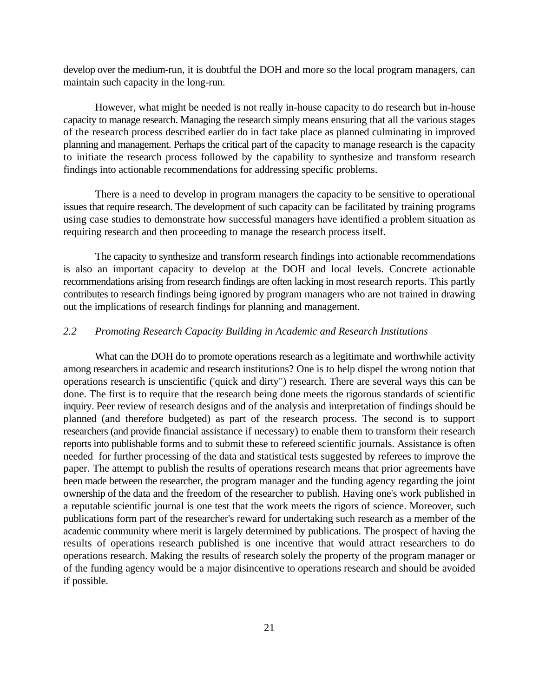develop over the medium-run, it is doubtful the DOH and more so the local program managers, can maintain such capacity in the long-run.

However, what might be needed is not really in-house capacity to do research but in-house capacity to manage research. Managing the research simply means ensuring that all the various stages of the research process described earlier do in fact take place as planned culminating in improved planning and management. Perhaps the critical part of the capacity to manage research is the capacity to initiate the research process followed by the capability to synthesize and transform research findings into actionable recommendations for addressing specific problems.

There is a need to develop in program managers the capacity to be sensitive to operational issues that require research. The development of such capacity can be facilitated by training programs using case studies to demonstrate how successful managers have identified a problem situation as requiring research and then proceeding to manage the research process itself.

The capacity to synthesize and transform research findings into actionable recommendations is also an important capacity to develop at the DOH and local levels. Concrete actionable recommendations arising from research findings are often lacking in most research reports. This partly contributes to research findings being ignored by program managers who are not trained in drawing out the implications of research findings for planning and management.

## *2.2 Promoting Research Capacity Building in Academic and Research Institutions*

What can the DOH do to promote operations research as a legitimate and worthwhile activity among researchers in academic and research institutions? One is to help dispel the wrong notion that operations research is unscientific ('quick and dirty") research. There are several ways this can be done. The first is to require that the research being done meets the rigorous standards of scientific inquiry. Peer review of research designs and of the analysis and interpretation of findings should be planned (and therefore budgeted) as part of the research process. The second is to support researchers (and provide financial assistance if necessary) to enable them to transform their research reports into publishable forms and to submit these to refereed scientific journals. Assistance is often needed for further processing of the data and statistical tests suggested by referees to improve the paper. The attempt to publish the results of operations research means that prior agreements have been made between the researcher, the program manager and the funding agency regarding the joint ownership of the data and the freedom of the researcher to publish. Having one's work published in a reputable scientific journal is one test that the work meets the rigors of science. Moreover, such publications form part of the researcher's reward for undertaking such research as a member of the academic community where merit is largely determined by publications. The prospect of having the results of operations research published is one incentive that would attract researchers to do operations research. Making the results of research solely the property of the program manager or of the funding agency would be a major disincentive to operations research and should be avoided if possible.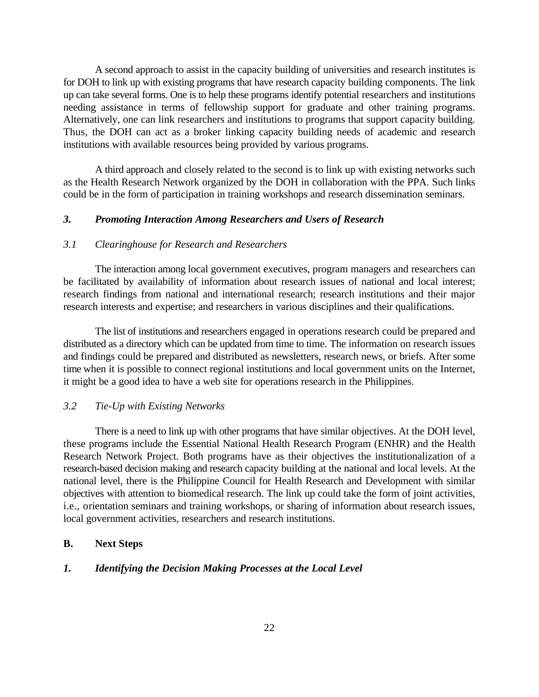A second approach to assist in the capacity building of universities and research institutes is for DOH to link up with existing programs that have research capacity building components. The link up can take several forms. One is to help these programs identify potential researchers and institutions needing assistance in terms of fellowship support for graduate and other training programs. Alternatively, one can link researchers and institutions to programs that support capacity building. Thus, the DOH can act as a broker linking capacity building needs of academic and research institutions with available resources being provided by various programs.

A third approach and closely related to the second is to link up with existing networks such as the Health Research Network organized by the DOH in collaboration with the PPA. Such links could be in the form of participation in training workshops and research dissemination seminars.

#### *3. Promoting Interaction Among Researchers and Users of Research*

## *3.1 Clearinghouse for Research and Researchers*

The interaction among local government executives, program managers and researchers can be facilitated by availability of information about research issues of national and local interest; research findings from national and international research; research institutions and their major research interests and expertise; and researchers in various disciplines and their qualifications.

The list of institutions and researchers engaged in operations research could be prepared and distributed as a directory which can be updated from time to time. The information on research issues and findings could be prepared and distributed as newsletters, research news, or briefs. After some time when it is possible to connect regional institutions and local government units on the Internet, it might be a good idea to have a web site for operations research in the Philippines.

## *3.2 Tie-Up with Existing Networks*

There is a need to link up with other programs that have similar objectives. At the DOH level, these programs include the Essential National Health Research Program (ENHR) and the Health Research Network Project. Both programs have as their objectives the institutionalization of a research-based decision making and research capacity building at the national and local levels. At the national level, there is the Philippine Council for Health Research and Development with similar objectives with attention to biomedical research. The link up could take the form of joint activities, i.e., orientation seminars and training workshops, or sharing of information about research issues, local government activities, researchers and research institutions.

## **B. Next Steps**

#### *1. Identifying the Decision Making Processes at the Local Level*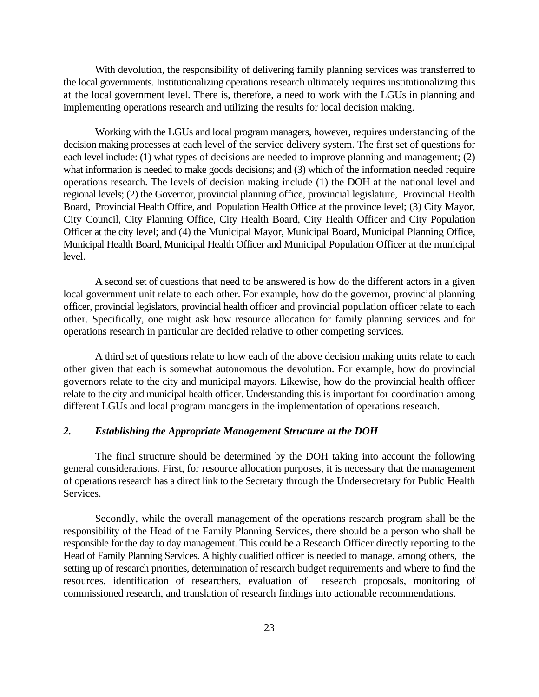With devolution, the responsibility of delivering family planning services was transferred to the local governments. Institutionalizing operations research ultimately requires institutionalizing this at the local government level. There is, therefore, a need to work with the LGUs in planning and implementing operations research and utilizing the results for local decision making.

Working with the LGUs and local program managers, however, requires understanding of the decision making processes at each level of the service delivery system. The first set of questions for each level include: (1) what types of decisions are needed to improve planning and management; (2) what information is needed to make goods decisions; and (3) which of the information needed require operations research. The levels of decision making include (1) the DOH at the national level and regional levels; (2) the Governor, provincial planning office, provincial legislature, Provincial Health Board, Provincial Health Office, and Population Health Office at the province level; (3) City Mayor, City Council, City Planning Office, City Health Board, City Health Officer and City Population Officer at the city level; and (4) the Municipal Mayor, Municipal Board, Municipal Planning Office, Municipal Health Board, Municipal Health Officer and Municipal Population Officer at the municipal level.

A second set of questions that need to be answered is how do the different actors in a given local government unit relate to each other. For example, how do the governor, provincial planning officer, provincial legislators, provincial health officer and provincial population officer relate to each other. Specifically, one might ask how resource allocation for family planning services and for operations research in particular are decided relative to other competing services.

A third set of questions relate to how each of the above decision making units relate to each other given that each is somewhat autonomous the devolution. For example, how do provincial governors relate to the city and municipal mayors. Likewise, how do the provincial health officer relate to the city and municipal health officer. Understanding this is important for coordination among different LGUs and local program managers in the implementation of operations research.

## *2. Establishing the Appropriate Management Structure at the DOH*

The final structure should be determined by the DOH taking into account the following general considerations. First, for resource allocation purposes, it is necessary that the management of operations research has a direct link to the Secretary through the Undersecretary for Public Health Services.

Secondly, while the overall management of the operations research program shall be the responsibility of the Head of the Family Planning Services, there should be a person who shall be responsible for the day to day management. This could be a Research Officer directly reporting to the Head of Family Planning Services. A highly qualified officer is needed to manage, among others, the setting up of research priorities, determination of research budget requirements and where to find the resources, identification of researchers, evaluation of research proposals, monitoring of commissioned research, and translation of research findings into actionable recommendations.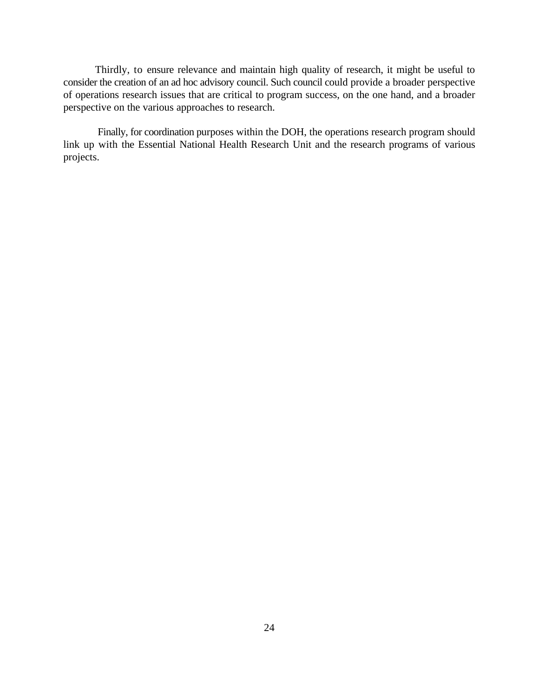Thirdly, to ensure relevance and maintain high quality of research, it might be useful to consider the creation of an ad hoc advisory council. Such council could provide a broader perspective of operations research issues that are critical to program success, on the one hand, and a broader perspective on the various approaches to research.

Finally, for coordination purposes within the DOH, the operations research program should link up with the Essential National Health Research Unit and the research programs of various projects.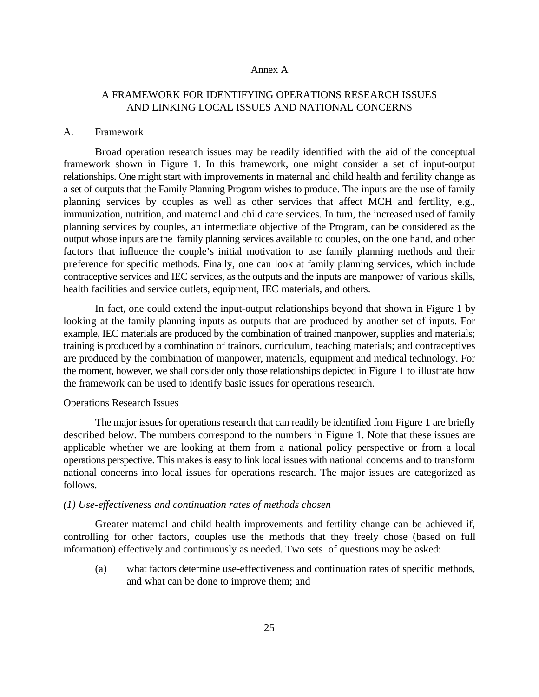#### Annex A

## A FRAMEWORK FOR IDENTIFYING OPERATIONS RESEARCH ISSUES AND LINKING LOCAL ISSUES AND NATIONAL CONCERNS

#### A. Framework

Broad operation research issues may be readily identified with the aid of the conceptual framework shown in Figure 1. In this framework, one might consider a set of input-output relationships. One might start with improvements in maternal and child health and fertility change as a set of outputs that the Family Planning Program wishes to produce. The inputs are the use of family planning services by couples as well as other services that affect MCH and fertility, e.g., immunization, nutrition, and maternal and child care services. In turn, the increased used of family planning services by couples, an intermediate objective of the Program, can be considered as the output whose inputs are the family planning services available to couples, on the one hand, and other factors that influence the couple's initial motivation to use family planning methods and their preference for specific methods. Finally, one can look at family planning services, which include contraceptive services and IEC services, as the outputs and the inputs are manpower of various skills, health facilities and service outlets, equipment, IEC materials, and others.

In fact, one could extend the input-output relationships beyond that shown in Figure 1 by looking at the family planning inputs as outputs that are produced by another set of inputs. For example, IEC materials are produced by the combination of trained manpower, supplies and materials; training is produced by a combination of trainors, curriculum, teaching materials; and contraceptives are produced by the combination of manpower, materials, equipment and medical technology. For the moment, however, we shall consider only those relationships depicted in Figure 1 to illustrate how the framework can be used to identify basic issues for operations research.

#### Operations Research Issues

The major issues for operations research that can readily be identified from Figure 1 are briefly described below. The numbers correspond to the numbers in Figure 1. Note that these issues are applicable whether we are looking at them from a national policy perspective or from a local operations perspective. This makes is easy to link local issues with national concerns and to transform national concerns into local issues for operations research. The major issues are categorized as follows.

#### *(1) Use-effectiveness and continuation rates of methods chosen*

Greater maternal and child health improvements and fertility change can be achieved if, controlling for other factors, couples use the methods that they freely chose (based on full information) effectively and continuously as needed. Two sets of questions may be asked:

(a) what factors determine use-effectiveness and continuation rates of specific methods, and what can be done to improve them; and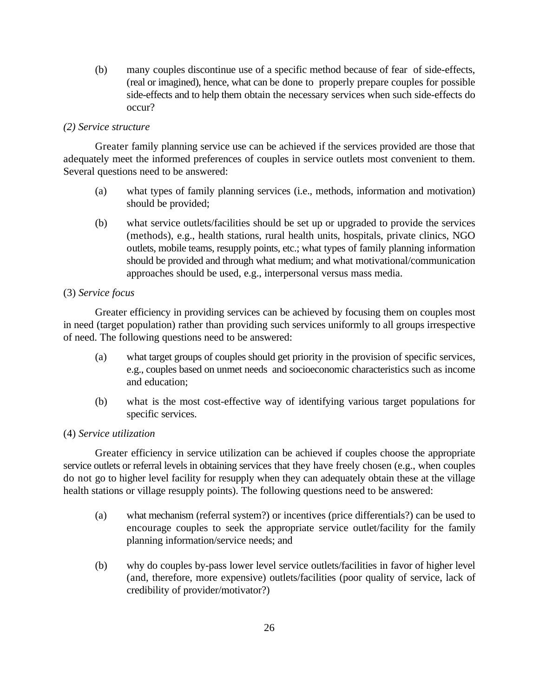(b) many couples discontinue use of a specific method because of fear of side-effects, (real or imagined), hence, what can be done to properly prepare couples for possible side-effects and to help them obtain the necessary services when such side-effects do occur?

## *(2) Service structure*

Greater family planning service use can be achieved if the services provided are those that adequately meet the informed preferences of couples in service outlets most convenient to them. Several questions need to be answered:

- (a) what types of family planning services (i.e., methods, information and motivation) should be provided;
- (b) what service outlets/facilities should be set up or upgraded to provide the services (methods), e.g., health stations, rural health units, hospitals, private clinics, NGO outlets, mobile teams, resupply points, etc.; what types of family planning information should be provided and through what medium; and what motivational/communication approaches should be used, e.g., interpersonal versus mass media.

## (3) *Service focus*

Greater efficiency in providing services can be achieved by focusing them on couples most in need (target population) rather than providing such services uniformly to all groups irrespective of need. The following questions need to be answered:

- (a) what target groups of couples should get priority in the provision of specific services, e.g., couples based on unmet needs and socioeconomic characteristics such as income and education;
- (b) what is the most cost-effective way of identifying various target populations for specific services.

## (4) *Service utilization*

Greater efficiency in service utilization can be achieved if couples choose the appropriate service outlets or referral levels in obtaining services that they have freely chosen (e.g., when couples do not go to higher level facility for resupply when they can adequately obtain these at the village health stations or village resupply points). The following questions need to be answered:

- (a) what mechanism (referral system?) or incentives (price differentials?) can be used to encourage couples to seek the appropriate service outlet/facility for the family planning information/service needs; and
- (b) why do couples by-pass lower level service outlets/facilities in favor of higher level (and, therefore, more expensive) outlets/facilities (poor quality of service, lack of credibility of provider/motivator?)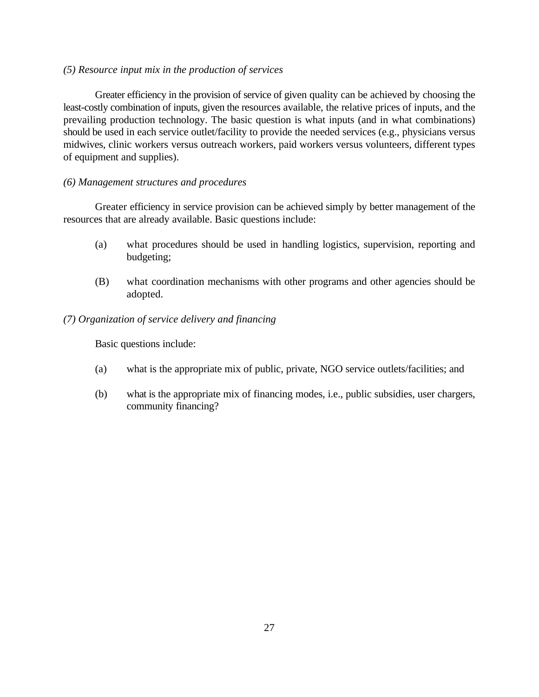### *(5) Resource input mix in the production of services*

Greater efficiency in the provision of service of given quality can be achieved by choosing the least-costly combination of inputs, given the resources available, the relative prices of inputs, and the prevailing production technology. The basic question is what inputs (and in what combinations) should be used in each service outlet/facility to provide the needed services (e.g., physicians versus midwives, clinic workers versus outreach workers, paid workers versus volunteers, different types of equipment and supplies).

## *(6) Management structures and procedures*

Greater efficiency in service provision can be achieved simply by better management of the resources that are already available. Basic questions include:

- (a) what procedures should be used in handling logistics, supervision, reporting and budgeting;
- (B) what coordination mechanisms with other programs and other agencies should be adopted.

## *(7) Organization of service delivery and financing*

Basic questions include:

- (a) what is the appropriate mix of public, private, NGO service outlets/facilities; and
- (b) what is the appropriate mix of financing modes, i.e., public subsidies, user chargers, community financing?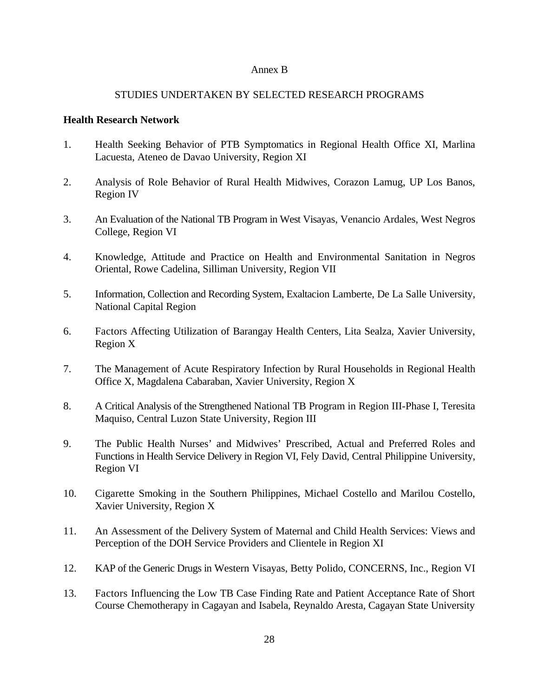## Annex B

## STUDIES UNDERTAKEN BY SELECTED RESEARCH PROGRAMS

## **Health Research Network**

- 1. Health Seeking Behavior of PTB Symptomatics in Regional Health Office XI, Marlina Lacuesta, Ateneo de Davao University, Region XI
- 2. Analysis of Role Behavior of Rural Health Midwives, Corazon Lamug, UP Los Banos, Region IV
- 3. An Evaluation of the National TB Program in West Visayas, Venancio Ardales, West Negros College, Region VI
- 4. Knowledge, Attitude and Practice on Health and Environmental Sanitation in Negros Oriental, Rowe Cadelina, Silliman University, Region VII
- 5. Information, Collection and Recording System, Exaltacion Lamberte, De La Salle University, National Capital Region
- 6. Factors Affecting Utilization of Barangay Health Centers, Lita Sealza, Xavier University, Region X
- 7. The Management of Acute Respiratory Infection by Rural Households in Regional Health Office X, Magdalena Cabaraban, Xavier University, Region X
- 8. A Critical Analysis of the Strengthened National TB Program in Region III-Phase I, Teresita Maquiso, Central Luzon State University, Region III
- 9. The Public Health Nurses' and Midwives' Prescribed, Actual and Preferred Roles and Functions in Health Service Delivery in Region VI, Fely David, Central Philippine University, Region VI
- 10. Cigarette Smoking in the Southern Philippines, Michael Costello and Marilou Costello, Xavier University, Region X
- 11. An Assessment of the Delivery System of Maternal and Child Health Services: Views and Perception of the DOH Service Providers and Clientele in Region XI
- 12. KAP of the Generic Drugs in Western Visayas, Betty Polido, CONCERNS, Inc., Region VI
- 13. Factors Influencing the Low TB Case Finding Rate and Patient Acceptance Rate of Short Course Chemotherapy in Cagayan and Isabela, Reynaldo Aresta, Cagayan State University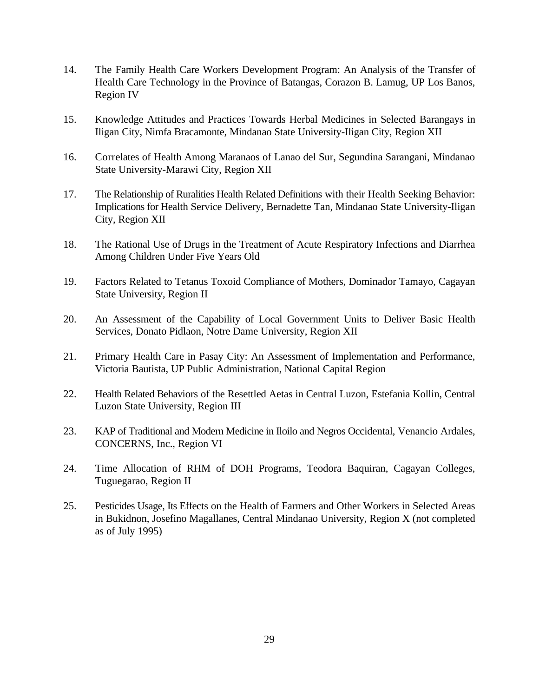- 14. The Family Health Care Workers Development Program: An Analysis of the Transfer of Health Care Technology in the Province of Batangas, Corazon B. Lamug, UP Los Banos, Region IV
- 15. Knowledge Attitudes and Practices Towards Herbal Medicines in Selected Barangays in Iligan City, Nimfa Bracamonte, Mindanao State University-Iligan City, Region XII
- 16. Correlates of Health Among Maranaos of Lanao del Sur, Segundina Sarangani, Mindanao State University-Marawi City, Region XII
- 17. The Relationship of Ruralities Health Related Definitions with their Health Seeking Behavior: Implications for Health Service Delivery, Bernadette Tan, Mindanao State University-Iligan City, Region XII
- 18. The Rational Use of Drugs in the Treatment of Acute Respiratory Infections and Diarrhea Among Children Under Five Years Old
- 19. Factors Related to Tetanus Toxoid Compliance of Mothers, Dominador Tamayo, Cagayan State University, Region II
- 20. An Assessment of the Capability of Local Government Units to Deliver Basic Health Services, Donato Pidlaon, Notre Dame University, Region XII
- 21. Primary Health Care in Pasay City: An Assessment of Implementation and Performance, Victoria Bautista, UP Public Administration, National Capital Region
- 22. Health Related Behaviors of the Resettled Aetas in Central Luzon, Estefania Kollin, Central Luzon State University, Region III
- 23. KAP of Traditional and Modern Medicine in Iloilo and Negros Occidental, Venancio Ardales, CONCERNS, Inc., Region VI
- 24. Time Allocation of RHM of DOH Programs, Teodora Baquiran, Cagayan Colleges, Tuguegarao, Region II
- 25. Pesticides Usage, Its Effects on the Health of Farmers and Other Workers in Selected Areas in Bukidnon, Josefino Magallanes, Central Mindanao University, Region X (not completed as of July 1995)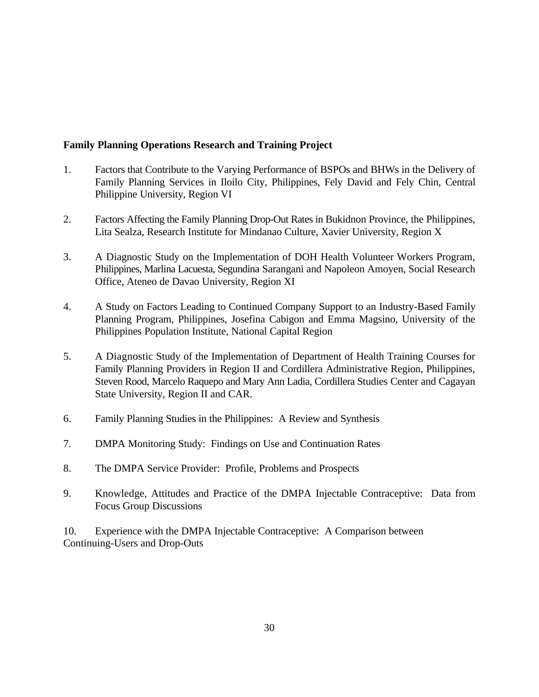## **Family Planning Operations Research and Training Project**

- 1. Factors that Contribute to the Varying Performance of BSPOs and BHWs in the Delivery of Family Planning Services in Iloilo City, Philippines, Fely David and Fely Chin, Central Philippine University, Region VI
- 2. Factors Affecting the Family Planning Drop-Out Rates in Bukidnon Province, the Philippines, Lita Sealza, Research Institute for Mindanao Culture, Xavier University, Region X
- 3. A Diagnostic Study on the Implementation of DOH Health Volunteer Workers Program, Philippines, Marlina Lacuesta, Segundina Sarangani and Napoleon Amoyen, Social Research Office, Ateneo de Davao University, Region XI
- 4. A Study on Factors Leading to Continued Company Support to an Industry-Based Family Planning Program, Philippines, Josefina Cabigon and Emma Magsino, University of the Philippines Population Institute, National Capital Region
- 5. A Diagnostic Study of the Implementation of Department of Health Training Courses for Family Planning Providers in Region II and Cordillera Administrative Region, Philippines, Steven Rood, Marcelo Raquepo and Mary Ann Ladia, Cordillera Studies Center and Cagayan State University, Region II and CAR.
- 6. Family Planning Studies in the Philippines: A Review and Synthesis
- 7. DMPA Monitoring Study: Findings on Use and Continuation Rates
- 8. The DMPA Service Provider: Profile, Problems and Prospects
- 9. Knowledge, Attitudes and Practice of the DMPA Injectable Contraceptive: Data from Focus Group Discussions

10. Experience with the DMPA Injectable Contraceptive: A Comparison between Continuing-Users and Drop-Outs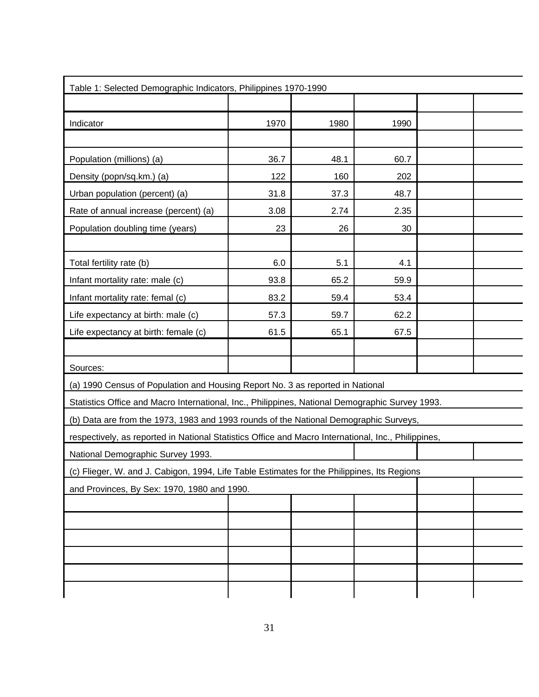| Table 1: Selected Demographic Indicators, Philippines 1970-1990                                     |      |      |      |  |
|-----------------------------------------------------------------------------------------------------|------|------|------|--|
|                                                                                                     |      |      |      |  |
| Indicator                                                                                           | 1970 | 1980 | 1990 |  |
|                                                                                                     |      |      |      |  |
| Population (millions) (a)                                                                           | 36.7 | 48.1 | 60.7 |  |
| Density (popn/sq.km.) (a)                                                                           | 122  | 160  | 202  |  |
| Urban population (percent) (a)                                                                      | 31.8 | 37.3 | 48.7 |  |
| Rate of annual increase (percent) (a)                                                               | 3.08 | 2.74 | 2.35 |  |
| Population doubling time (years)                                                                    | 23   | 26   | 30   |  |
|                                                                                                     |      |      |      |  |
| Total fertility rate (b)                                                                            | 6.0  | 5.1  | 4.1  |  |
| Infant mortality rate: male (c)                                                                     | 93.8 | 65.2 | 59.9 |  |
| Infant mortality rate: femal (c)                                                                    | 83.2 | 59.4 | 53.4 |  |
| Life expectancy at birth: male (c)                                                                  | 57.3 | 59.7 | 62.2 |  |
| Life expectancy at birth: female (c)                                                                | 61.5 | 65.1 | 67.5 |  |
|                                                                                                     |      |      |      |  |
| Sources:                                                                                            |      |      |      |  |
| (a) 1990 Census of Population and Housing Report No. 3 as reported in National                      |      |      |      |  |
| Statistics Office and Macro International, Inc., Philippines, National Demographic Survey 1993.     |      |      |      |  |
| (b) Data are from the 1973, 1983 and 1993 rounds of the National Demographic Surveys,               |      |      |      |  |
| respectively, as reported in National Statistics Office and Macro International, Inc., Philippines, |      |      |      |  |
| National Demographic Survey 1993.                                                                   |      |      |      |  |
| (c) Flieger, W. and J. Cabigon, 1994, Life Table Estimates for the Philippines, Its Regions         |      |      |      |  |
| and Provinces, By Sex: 1970, 1980 and 1990.                                                         |      |      |      |  |
|                                                                                                     |      |      |      |  |
|                                                                                                     |      |      |      |  |
|                                                                                                     |      |      |      |  |
|                                                                                                     |      |      |      |  |
|                                                                                                     |      |      |      |  |
|                                                                                                     |      |      |      |  |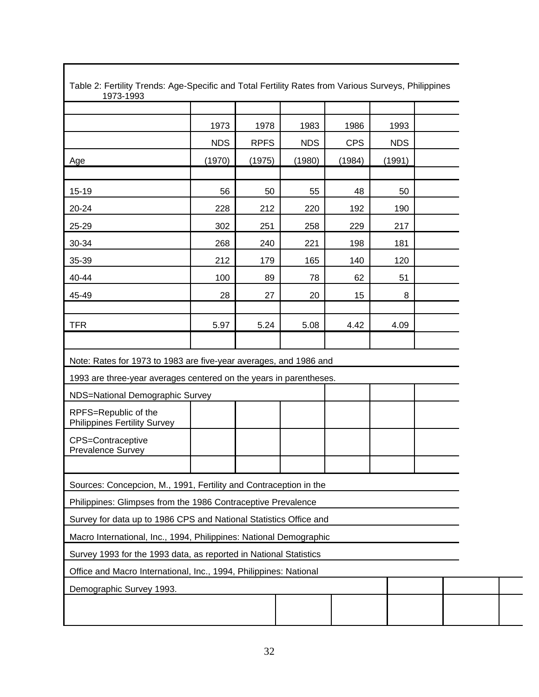| 1973<br>1978<br>1983<br>1986<br>1993<br><b>RPFS</b><br><b>CPS</b><br><b>NDS</b><br><b>NDS</b><br><b>NDS</b><br>(1970)<br>(1975)<br>(1980)<br>(1984)<br>(1991)<br>Age<br>56<br>48<br>50<br>55<br>50<br>15-19<br>228<br>212<br>220<br>192<br>190<br>20-24<br>25-29<br>302<br>251<br>258<br>229<br>217 |  |
|-----------------------------------------------------------------------------------------------------------------------------------------------------------------------------------------------------------------------------------------------------------------------------------------------------|--|
|                                                                                                                                                                                                                                                                                                     |  |
|                                                                                                                                                                                                                                                                                                     |  |
|                                                                                                                                                                                                                                                                                                     |  |
|                                                                                                                                                                                                                                                                                                     |  |
|                                                                                                                                                                                                                                                                                                     |  |
|                                                                                                                                                                                                                                                                                                     |  |
|                                                                                                                                                                                                                                                                                                     |  |
| 30-34<br>268<br>240<br>221<br>198<br>181                                                                                                                                                                                                                                                            |  |
| 35-39<br>212<br>165<br>140<br>120<br>179                                                                                                                                                                                                                                                            |  |
| 89<br>62<br>51<br>40-44<br>100<br>78                                                                                                                                                                                                                                                                |  |
| 28<br>27<br>45-49<br>20<br>15<br>8                                                                                                                                                                                                                                                                  |  |
|                                                                                                                                                                                                                                                                                                     |  |
| <b>TFR</b><br>5.97<br>5.24<br>5.08<br>4.42<br>4.09                                                                                                                                                                                                                                                  |  |
|                                                                                                                                                                                                                                                                                                     |  |
| Note: Rates for 1973 to 1983 are five-year averages, and 1986 and                                                                                                                                                                                                                                   |  |
| 1993 are three-year averages centered on the years in parentheses.                                                                                                                                                                                                                                  |  |
| NDS=National Demographic Survey                                                                                                                                                                                                                                                                     |  |
| RPFS=Republic of the<br><b>Philippines Fertility Survey</b>                                                                                                                                                                                                                                         |  |
| CPS=Contraceptive<br>Prevalence Survey                                                                                                                                                                                                                                                              |  |
|                                                                                                                                                                                                                                                                                                     |  |
| Sources: Concepcion, M., 1991, Fertility and Contraception in the                                                                                                                                                                                                                                   |  |
| Philippines: Glimpses from the 1986 Contraceptive Prevalence                                                                                                                                                                                                                                        |  |
|                                                                                                                                                                                                                                                                                                     |  |
| Survey for data up to 1986 CPS and National Statistics Office and                                                                                                                                                                                                                                   |  |
| Macro International, Inc., 1994, Philippines: National Demographic                                                                                                                                                                                                                                  |  |
| Survey 1993 for the 1993 data, as reported in National Statistics                                                                                                                                                                                                                                   |  |
| Office and Macro International, Inc., 1994, Philippines: National                                                                                                                                                                                                                                   |  |
| Demographic Survey 1993.                                                                                                                                                                                                                                                                            |  |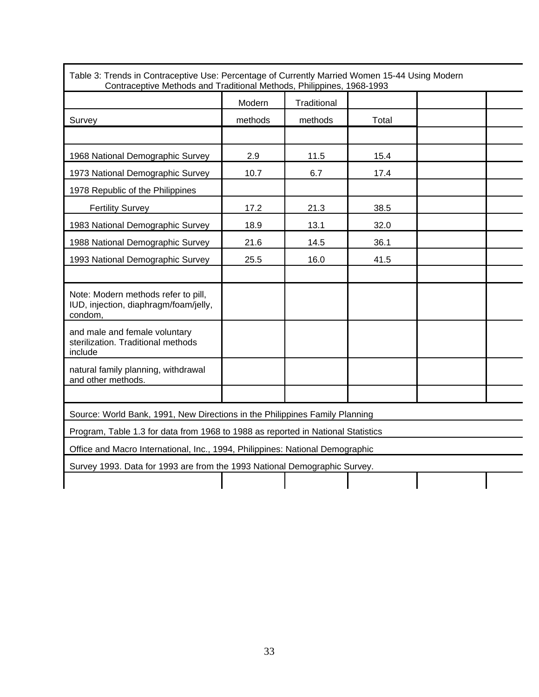|                                                                                         | Modern  | Traditional |       |  |
|-----------------------------------------------------------------------------------------|---------|-------------|-------|--|
| Survey                                                                                  | methods | methods     | Total |  |
|                                                                                         |         |             |       |  |
| 1968 National Demographic Survey                                                        | 2.9     | 11.5        | 15.4  |  |
| 1973 National Demographic Survey                                                        | 10.7    | 6.7         | 17.4  |  |
| 1978 Republic of the Philippines                                                        |         |             |       |  |
| <b>Fertility Survey</b>                                                                 | 17.2    | 21.3        | 38.5  |  |
| 1983 National Demographic Survey                                                        | 18.9    | 13.1        | 32.0  |  |
| 1988 National Demographic Survey                                                        | 21.6    | 14.5        | 36.1  |  |
| 1993 National Demographic Survey                                                        | 25.5    | 16.0        | 41.5  |  |
|                                                                                         |         |             |       |  |
| Note: Modern methods refer to pill,<br>IUD, injection, diaphragm/foam/jelly,<br>condom. |         |             |       |  |
| and male and female voluntary<br>sterilization. Traditional methods<br>include          |         |             |       |  |
| natural family planning, withdrawal<br>and other methods.                               |         |             |       |  |
|                                                                                         |         |             |       |  |
| Source: World Bank, 1991, New Directions in the Philippines Family Planning             |         |             |       |  |
| Program, Table 1.3 for data from 1968 to 1988 as reported in National Statistics        |         |             |       |  |
| Office and Macro International, Inc., 1994, Philippines: National Demographic           |         |             |       |  |
| Survey 1993. Data for 1993 are from the 1993 National Demographic Survey.               |         |             |       |  |
|                                                                                         |         |             |       |  |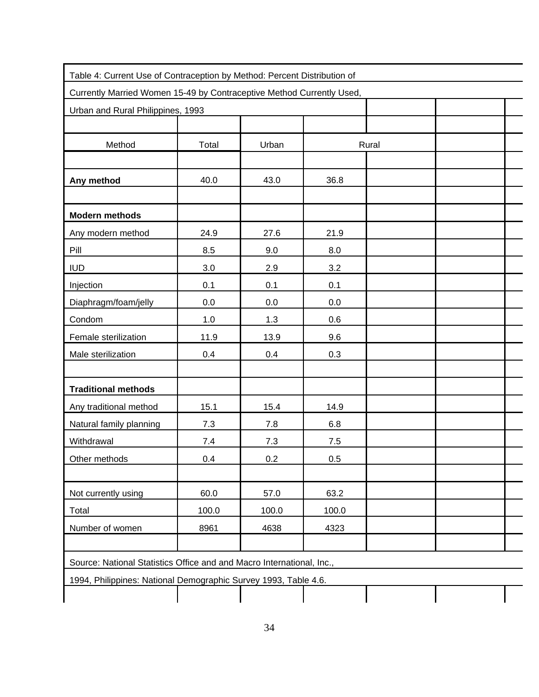| Table 4: Current Use of Contraception by Method: Percent Distribution of |       |       |       |       |  |
|--------------------------------------------------------------------------|-------|-------|-------|-------|--|
| Currently Married Women 15-49 by Contraceptive Method Currently Used,    |       |       |       |       |  |
| Urban and Rural Philippines, 1993                                        |       |       |       |       |  |
|                                                                          |       |       |       |       |  |
| Method                                                                   | Total | Urban |       | Rural |  |
|                                                                          |       |       |       |       |  |
| Any method                                                               | 40.0  | 43.0  | 36.8  |       |  |
|                                                                          |       |       |       |       |  |
| <b>Modern methods</b>                                                    |       |       |       |       |  |
| Any modern method                                                        | 24.9  | 27.6  | 21.9  |       |  |
| Pill                                                                     | 8.5   | 9.0   | 8.0   |       |  |
| <b>IUD</b>                                                               | 3.0   | 2.9   | 3.2   |       |  |
| Injection                                                                | 0.1   | 0.1   | 0.1   |       |  |
| Diaphragm/foam/jelly                                                     | 0.0   | 0.0   | 0.0   |       |  |
| Condom                                                                   | 1.0   | 1.3   | 0.6   |       |  |
| Female sterilization                                                     | 11.9  | 13.9  | 9.6   |       |  |
| Male sterilization                                                       | 0.4   | 0.4   | 0.3   |       |  |
|                                                                          |       |       |       |       |  |
| <b>Traditional methods</b>                                               |       |       |       |       |  |
| Any traditional method                                                   | 15.1  | 15.4  | 14.9  |       |  |
| Natural family planning                                                  | 7.3   | 7.8   | 6.8   |       |  |
| Withdrawal                                                               | 7.4   | 7.3   | 7.5   |       |  |
| Other methods                                                            | 0.4   | 0.2   | 0.5   |       |  |
|                                                                          |       |       |       |       |  |
| Not currently using                                                      | 60.0  | 57.0  | 63.2  |       |  |
| Total                                                                    | 100.0 | 100.0 | 100.0 |       |  |
| Number of women                                                          | 8961  | 4638  | 4323  |       |  |
|                                                                          |       |       |       |       |  |
| Source: National Statistics Office and and Macro International, Inc.,    |       |       |       |       |  |
| 1994, Philippines: National Demographic Survey 1993, Table 4.6.          |       |       |       |       |  |
|                                                                          |       |       |       |       |  |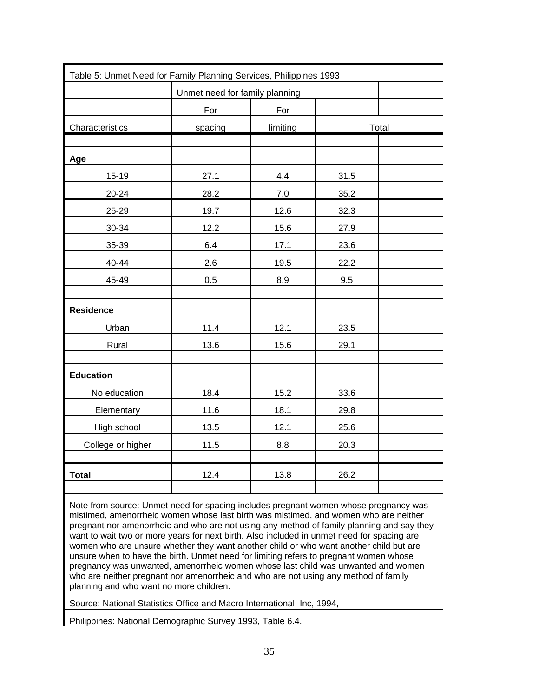| Table 5: Unmet Need for Family Planning Services, Philippines 1993 |                                |          |      |       |
|--------------------------------------------------------------------|--------------------------------|----------|------|-------|
|                                                                    | Unmet need for family planning |          |      |       |
|                                                                    | For                            | For      |      |       |
| Characteristics                                                    | spacing                        | limiting |      | Total |
|                                                                    |                                |          |      |       |
| Age                                                                |                                |          |      |       |
| $15-19$                                                            | 27.1                           | 4.4      | 31.5 |       |
| 20-24                                                              | 28.2                           | $7.0\,$  | 35.2 |       |
| 25-29                                                              | 19.7                           | 12.6     | 32.3 |       |
| 30-34                                                              | 12.2                           | 15.6     | 27.9 |       |
| 35-39                                                              | 6.4                            | 17.1     | 23.6 |       |
| 40-44                                                              | 2.6                            | 19.5     | 22.2 |       |
| 45-49                                                              | 0.5                            | 8.9      | 9.5  |       |
|                                                                    |                                |          |      |       |
| <b>Residence</b>                                                   |                                |          |      |       |
| Urban                                                              | 11.4                           | 12.1     | 23.5 |       |
| Rural                                                              | 13.6                           | 15.6     | 29.1 |       |
|                                                                    |                                |          |      |       |
| <b>Education</b>                                                   |                                |          |      |       |
| No education                                                       | 18.4                           | 15.2     | 33.6 |       |
| Elementary                                                         | 11.6                           | 18.1     | 29.8 |       |
| High school                                                        | 13.5                           | 12.1     | 25.6 |       |
| College or higher                                                  | 11.5                           | 8.8      | 20.3 |       |
|                                                                    |                                |          |      |       |
| <b>Total</b>                                                       | 12.4                           | 13.8     | 26.2 |       |
|                                                                    |                                |          |      |       |

Note from source: Unmet need for spacing includes pregnant women whose pregnancy was mistimed, amenorrheic women whose last birth was mistimed, and women who are neither pregnant nor amenorrheic and who are not using any method of family planning and say they want to wait two or more years for next birth. Also included in unmet need for spacing are women who are unsure whether they want another child or who want another child but are unsure when to have the birth. Unmet need for limiting refers to pregnant women whose pregnancy was unwanted, amenorrheic women whose last child was unwanted and women who are neither pregnant nor amenorrheic and who are not using any method of family planning and who want no more children.

Source: National Statistics Office and Macro International, Inc, 1994,

Philippines: National Demographic Survey 1993, Table 6.4.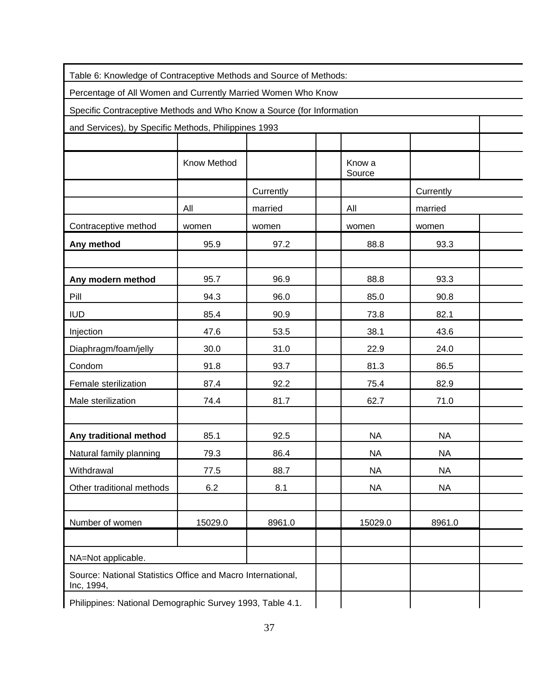| Table 6: Knowledge of Contraceptive Methods and Source of Methods:        |             |           |                  |           |  |
|---------------------------------------------------------------------------|-------------|-----------|------------------|-----------|--|
| Percentage of All Women and Currently Married Women Who Know              |             |           |                  |           |  |
| Specific Contraceptive Methods and Who Know a Source (for Information     |             |           |                  |           |  |
| and Services), by Specific Methods, Philippines 1993                      |             |           |                  |           |  |
|                                                                           |             |           |                  |           |  |
|                                                                           | Know Method |           | Know a<br>Source |           |  |
|                                                                           |             | Currently |                  | Currently |  |
|                                                                           | All         | married   | All              | married   |  |
| Contraceptive method                                                      | women       | women     | women            | women     |  |
| Any method                                                                | 95.9        | 97.2      | 88.8             | 93.3      |  |
|                                                                           |             |           |                  |           |  |
| Any modern method                                                         | 95.7        | 96.9      | 88.8             | 93.3      |  |
| Pill                                                                      | 94.3        | 96.0      | 85.0             | 90.8      |  |
| <b>IUD</b>                                                                | 85.4        | 90.9      | 73.8             | 82.1      |  |
| Injection                                                                 | 47.6        | 53.5      | 38.1             | 43.6      |  |
| Diaphragm/foam/jelly                                                      | 30.0        | 31.0      | 22.9             | 24.0      |  |
| Condom                                                                    | 91.8        | 93.7      | 81.3             | 86.5      |  |
| Female sterilization                                                      | 87.4        | 92.2      | 75.4             | 82.9      |  |
| Male sterilization                                                        | 74.4        | 81.7      | 62.7             | 71.0      |  |
|                                                                           |             |           |                  |           |  |
| Any traditional method                                                    | 85.1        | 92.5      | <b>NA</b>        | <b>NA</b> |  |
| Natural family planning                                                   | 79.3        | 86.4      | <b>NA</b>        | <b>NA</b> |  |
| Withdrawal                                                                | 77.5        | 88.7      | <b>NA</b>        | <b>NA</b> |  |
| Other traditional methods                                                 | 6.2         | 8.1       | <b>NA</b>        | <b>NA</b> |  |
|                                                                           |             |           |                  |           |  |
| Number of women                                                           | 15029.0     | 8961.0    | 15029.0          | 8961.0    |  |
|                                                                           |             |           |                  |           |  |
| NA=Not applicable.                                                        |             |           |                  |           |  |
| Source: National Statistics Office and Macro International,<br>Inc, 1994, |             |           |                  |           |  |
| Philippines: National Demographic Survey 1993, Table 4.1.                 |             |           |                  |           |  |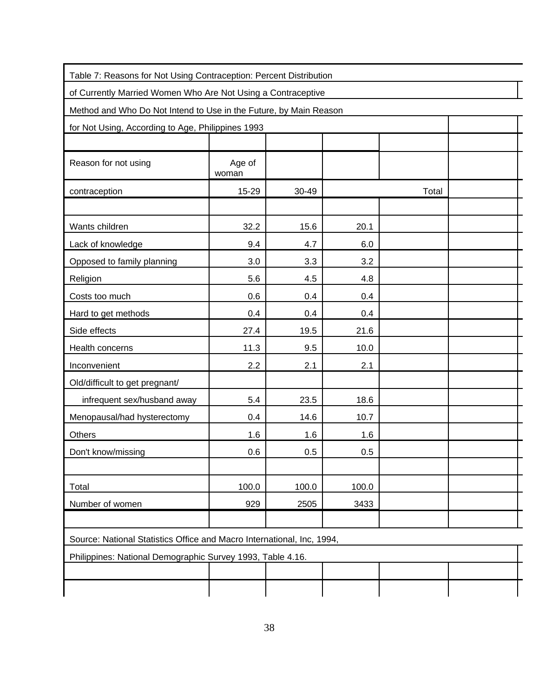| Table 7: Reasons for Not Using Contraception: Percent Distribution     |                 |       |       |       |  |
|------------------------------------------------------------------------|-----------------|-------|-------|-------|--|
| of Currently Married Women Who Are Not Using a Contraceptive           |                 |       |       |       |  |
| Method and Who Do Not Intend to Use in the Future, by Main Reason      |                 |       |       |       |  |
| for Not Using, According to Age, Philippines 1993                      |                 |       |       |       |  |
|                                                                        |                 |       |       |       |  |
| Reason for not using                                                   | Age of<br>woman |       |       |       |  |
| contraception                                                          | 15-29           | 30-49 |       | Total |  |
|                                                                        |                 |       |       |       |  |
| Wants children                                                         | 32.2            | 15.6  | 20.1  |       |  |
| Lack of knowledge                                                      | 9.4             | 4.7   | 6.0   |       |  |
| Opposed to family planning                                             | 3.0             | 3.3   | 3.2   |       |  |
| Religion                                                               | 5.6             | 4.5   | 4.8   |       |  |
| Costs too much                                                         | 0.6             | 0.4   | 0.4   |       |  |
| Hard to get methods                                                    | 0.4             | 0.4   | 0.4   |       |  |
| Side effects                                                           | 27.4            | 19.5  | 21.6  |       |  |
| Health concerns                                                        | 11.3            | 9.5   | 10.0  |       |  |
| Inconvenient                                                           | 2.2             | 2.1   | 2.1   |       |  |
| Old/difficult to get pregnant/                                         |                 |       |       |       |  |
| infrequent sex/husband away                                            | 5.4             | 23.5  | 18.6  |       |  |
| Menopausal/had hysterectomy                                            | 0.4             | 14.6  | 10.7  |       |  |
| Others                                                                 | 1.6             | 1.6   | 1.6   |       |  |
| Don't know/missing                                                     | 0.6             | 0.5   | 0.5   |       |  |
|                                                                        |                 |       |       |       |  |
| Total                                                                  | 100.0           | 100.0 | 100.0 |       |  |
| Number of women                                                        | 929             | 2505  | 3433  |       |  |
|                                                                        |                 |       |       |       |  |
| Source: National Statistics Office and Macro International, Inc, 1994, |                 |       |       |       |  |
| Philippines: National Demographic Survey 1993, Table 4.16.             |                 |       |       |       |  |
|                                                                        |                 |       |       |       |  |
|                                                                        |                 |       |       |       |  |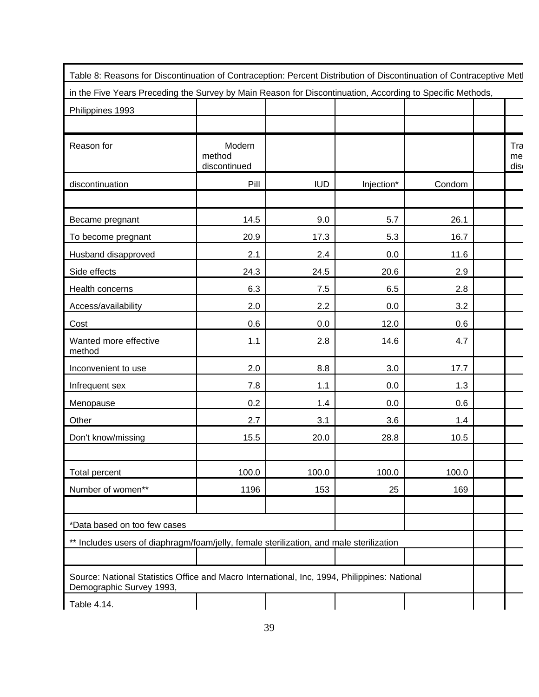| Table 8: Reasons for Discontinuation of Contraception: Percent Distribution of Discontinuation of Contraceptive Met      |                                  |            |            |        |                  |
|--------------------------------------------------------------------------------------------------------------------------|----------------------------------|------------|------------|--------|------------------|
| in the Five Years Preceding the Survey by Main Reason for Discontinuation, According to Specific Methods,                |                                  |            |            |        |                  |
| Philippines 1993                                                                                                         |                                  |            |            |        |                  |
|                                                                                                                          |                                  |            |            |        |                  |
| Reason for                                                                                                               | Modern<br>method<br>discontinued |            |            |        | Tra<br>me<br>dis |
| discontinuation                                                                                                          | Pill                             | <b>IUD</b> | Injection* | Condom |                  |
| Became pregnant                                                                                                          | 14.5                             | 9.0        | 5.7        | 26.1   |                  |
| To become pregnant                                                                                                       | 20.9                             | 17.3       | 5.3        | 16.7   |                  |
| Husband disapproved                                                                                                      | 2.1                              | 2.4        | 0.0        | 11.6   |                  |
| Side effects                                                                                                             | 24.3                             | 24.5       | 20.6       | 2.9    |                  |
| Health concerns                                                                                                          | 6.3                              | 7.5        | 6.5        | 2.8    |                  |
| Access/availability                                                                                                      | 2.0                              | 2.2        | 0.0        | 3.2    |                  |
| Cost                                                                                                                     | 0.6                              | 0.0        | 12.0       | 0.6    |                  |
| Wanted more effective<br>method                                                                                          | 1.1                              | 2.8        | 14.6       | 4.7    |                  |
| Inconvenient to use                                                                                                      | 2.0                              | 8.8        | 3.0        | 17.7   |                  |
| Infrequent sex                                                                                                           | 7.8                              | 1.1        | 0.0        | 1.3    |                  |
| Menopause                                                                                                                | 0.2                              | 1.4        | 0.0        | 0.6    |                  |
| Other                                                                                                                    | 2.7                              | 3.1        | 3.6        | 1.4    |                  |
| Don't know/missing                                                                                                       | 15.5                             | 20.0       | 28.8       | 10.5   |                  |
| <b>Total percent</b>                                                                                                     | 100.0                            | 100.0      | 100.0      | 100.0  |                  |
| Number of women**                                                                                                        | 1196                             | 153        | 25         | 169    |                  |
| *Data based on too few cases                                                                                             |                                  |            |            |        |                  |
| ** Includes users of diaphragm/foam/jelly, female sterilization, and male sterilization                                  |                                  |            |            |        |                  |
|                                                                                                                          |                                  |            |            |        |                  |
| Source: National Statistics Office and Macro International, Inc, 1994, Philippines: National<br>Demographic Survey 1993, |                                  |            |            |        |                  |
| Table 4.14.                                                                                                              |                                  |            |            |        |                  |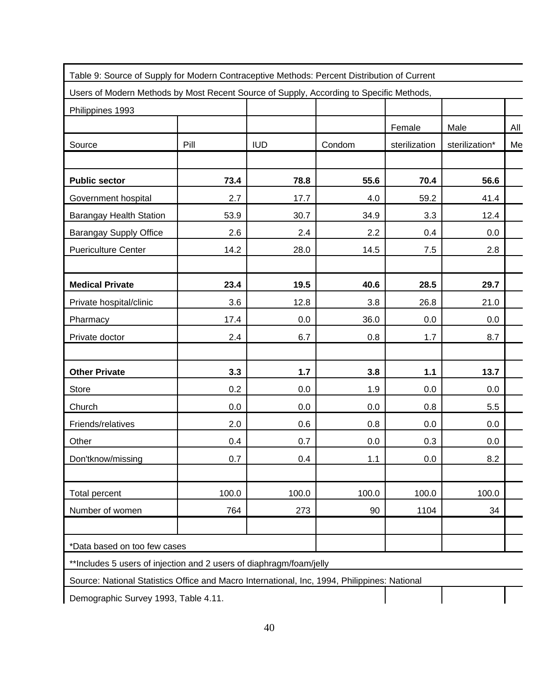| Philippines 1993               |       |            | Users of Modern Methods by Most Recent Source of Supply, According to Specific Methods, |               |                |     |
|--------------------------------|-------|------------|-----------------------------------------------------------------------------------------|---------------|----------------|-----|
|                                |       |            |                                                                                         | Female        | Male           | All |
| Source                         | Pill  | <b>IUD</b> | Condom                                                                                  | sterilization | sterilization* | Me  |
|                                |       |            |                                                                                         |               |                |     |
| <b>Public sector</b>           | 73.4  | 78.8       | 55.6                                                                                    | 70.4          | 56.6           |     |
| Government hospital            | 2.7   | 17.7       | 4.0                                                                                     | 59.2          | 41.4           |     |
| <b>Barangay Health Station</b> | 53.9  | 30.7       | 34.9                                                                                    | 3.3           | 12.4           |     |
| <b>Barangay Supply Office</b>  | 2.6   | 2.4        | 2.2                                                                                     | 0.4           | 0.0            |     |
| <b>Puericulture Center</b>     | 14.2  | 28.0       | 14.5                                                                                    | 7.5           | 2.8            |     |
| <b>Medical Private</b>         | 23.4  | 19.5       | 40.6                                                                                    | 28.5          | 29.7           |     |
| Private hospital/clinic        | 3.6   | 12.8       | 3.8                                                                                     | 26.8          | 21.0           |     |
| Pharmacy                       | 17.4  | 0.0        | 36.0                                                                                    | 0.0           | 0.0            |     |
| Private doctor                 | 2.4   | 6.7        | 0.8                                                                                     | 1.7           | 8.7            |     |
| <b>Other Private</b>           | 3.3   | $1.7$      | 3.8                                                                                     | 1.1           | 13.7           |     |
| Store                          | 0.2   | 0.0        | 1.9                                                                                     | 0.0           | 0.0            |     |
| Church                         | 0.0   | 0.0        | 0.0                                                                                     | 0.8           | 5.5            |     |
| Friends/relatives              | 2.0   | 0.6        | 0.8                                                                                     | 0.0           | 0.0            |     |
| Other                          | 0.4   | 0.7        | 0.0                                                                                     | 0.3           | 0.0            |     |
| Don'tknow/missing              | 0.7   | 0.4        | 1.1                                                                                     | 0.0           | 8.2            |     |
| <b>Total percent</b>           | 100.0 | 100.0      | 100.0                                                                                   | 100.0         | 100.0          |     |
| Number of women                | 764   | 273        | 90                                                                                      | 1104          | 34             |     |

\*\*Includes 5 users of injection and 2 users of diaphragm/foam/jelly

Source: National Statistics Office and Macro International, Inc, 1994, Philippines: National

Demographic Survey 1993, Table 4.11.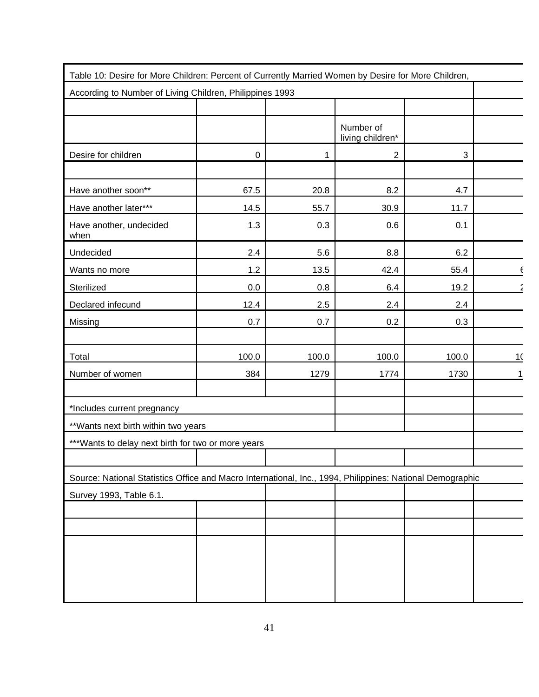| Table 10: Desire for More Children: Percent of Currently Married Women by Desire for More Children,       |       |       |                               |       |    |
|-----------------------------------------------------------------------------------------------------------|-------|-------|-------------------------------|-------|----|
| According to Number of Living Children, Philippines 1993                                                  |       |       |                               |       |    |
|                                                                                                           |       |       |                               |       |    |
|                                                                                                           |       |       | Number of<br>living children* |       |    |
| Desire for children                                                                                       | 0     | 1     | $\overline{2}$                | 3     |    |
|                                                                                                           |       |       |                               |       |    |
| Have another soon**                                                                                       | 67.5  | 20.8  | 8.2                           | 4.7   |    |
| Have another later***                                                                                     | 14.5  | 55.7  | 30.9                          | 11.7  |    |
| Have another, undecided<br>when                                                                           | 1.3   | 0.3   | 0.6                           | 0.1   |    |
| Undecided                                                                                                 | 2.4   | 5.6   | 8.8                           | 6.2   |    |
| Wants no more                                                                                             | 1.2   | 13.5  | 42.4                          | 55.4  |    |
| Sterilized                                                                                                | 0.0   | 0.8   | 6.4                           | 19.2  |    |
| Declared infecund                                                                                         | 12.4  | 2.5   | 2.4                           | 2.4   |    |
| Missing                                                                                                   | 0.7   | 0.7   | 0.2                           | 0.3   |    |
|                                                                                                           |       |       |                               |       |    |
| Total                                                                                                     | 100.0 | 100.0 | 100.0                         | 100.0 | 10 |
| Number of women                                                                                           | 384   | 1279  | 1774                          | 1730  |    |
|                                                                                                           |       |       |                               |       |    |
| *Includes current pregnancy                                                                               |       |       |                               |       |    |
| ** Wants next birth within two years                                                                      |       |       |                               |       |    |
| *** Wants to delay next birth for two or more years                                                       |       |       |                               |       |    |
|                                                                                                           |       |       |                               |       |    |
| Source: National Statistics Office and Macro International, Inc., 1994, Philippines: National Demographic |       |       |                               |       |    |
| Survey 1993, Table 6.1.                                                                                   |       |       |                               |       |    |
|                                                                                                           |       |       |                               |       |    |
|                                                                                                           |       |       |                               |       |    |
|                                                                                                           |       |       |                               |       |    |
|                                                                                                           |       |       |                               |       |    |
|                                                                                                           |       |       |                               |       |    |
|                                                                                                           |       |       |                               |       |    |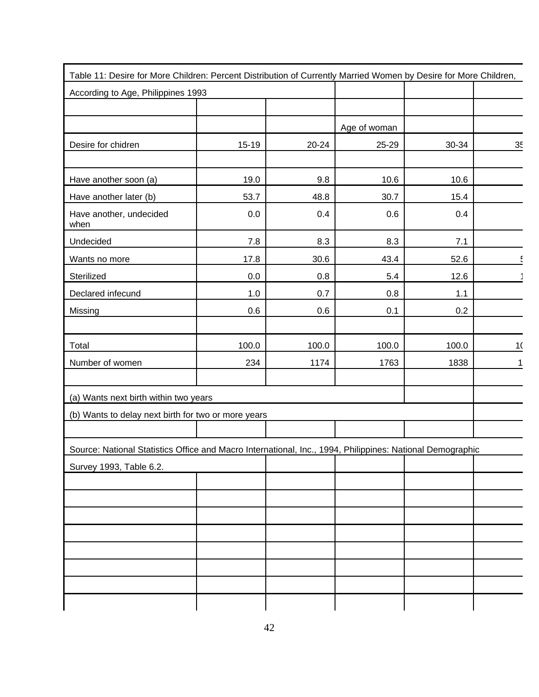| Table 11: Desire for More Children: Percent Distribution of Currently Married Women by Desire for More Children, |       |       |              |       |    |
|------------------------------------------------------------------------------------------------------------------|-------|-------|--------------|-------|----|
| According to Age, Philippines 1993                                                                               |       |       |              |       |    |
|                                                                                                                  |       |       |              |       |    |
|                                                                                                                  |       |       | Age of woman |       |    |
| Desire for chidren                                                                                               | 15-19 | 20-24 | 25-29        | 30-34 | 35 |
|                                                                                                                  |       |       |              |       |    |
| Have another soon (a)                                                                                            | 19.0  | 9.8   | 10.6         | 10.6  |    |
| Have another later (b)                                                                                           | 53.7  | 48.8  | 30.7         | 15.4  |    |
| Have another, undecided<br>when                                                                                  | 0.0   | 0.4   | 0.6          | 0.4   |    |
| Undecided                                                                                                        | 7.8   | 8.3   | 8.3          | 7.1   |    |
| Wants no more                                                                                                    | 17.8  | 30.6  | 43.4         | 52.6  |    |
| Sterilized                                                                                                       | 0.0   | 0.8   | 5.4          | 12.6  |    |
| Declared infecund                                                                                                | 1.0   | 0.7   | 0.8          | 1.1   |    |
| Missing                                                                                                          | 0.6   | 0.6   | 0.1          | 0.2   |    |
|                                                                                                                  |       |       |              |       |    |
| Total                                                                                                            | 100.0 | 100.0 | 100.0        | 100.0 | 10 |
| Number of women                                                                                                  | 234   | 1174  | 1763         | 1838  |    |
|                                                                                                                  |       |       |              |       |    |
| (a) Wants next birth within two years                                                                            |       |       |              |       |    |
| (b) Wants to delay next birth for two or more years                                                              |       |       |              |       |    |
|                                                                                                                  |       |       |              |       |    |
| Source: National Statistics Office and Macro International, Inc., 1994, Philippines: National Demographic        |       |       |              |       |    |
| Survey 1993, Table 6.2.                                                                                          |       |       |              |       |    |
|                                                                                                                  |       |       |              |       |    |
|                                                                                                                  |       |       |              |       |    |
|                                                                                                                  |       |       |              |       |    |
|                                                                                                                  |       |       |              |       |    |
|                                                                                                                  |       |       |              |       |    |
|                                                                                                                  |       |       |              |       |    |
|                                                                                                                  |       |       |              |       |    |
|                                                                                                                  |       |       |              |       |    |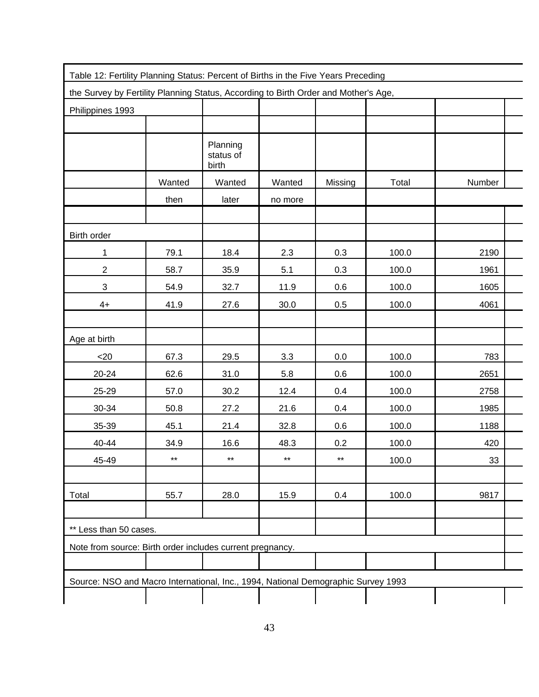| Table 12: Fertility Planning Status: Percent of Births in the Five Years Preceding  |              |                                |              |              |       |        |  |
|-------------------------------------------------------------------------------------|--------------|--------------------------------|--------------|--------------|-------|--------|--|
| the Survey by Fertility Planning Status, According to Birth Order and Mother's Age, |              |                                |              |              |       |        |  |
| Philippines 1993                                                                    |              |                                |              |              |       |        |  |
|                                                                                     |              |                                |              |              |       |        |  |
|                                                                                     |              | Planning<br>status of<br>birth |              |              |       |        |  |
|                                                                                     | Wanted       | Wanted                         | Wanted       | Missing      | Total | Number |  |
|                                                                                     | then         | later                          | no more      |              |       |        |  |
|                                                                                     |              |                                |              |              |       |        |  |
| Birth order                                                                         |              |                                |              |              |       |        |  |
| 1                                                                                   | 79.1         | 18.4                           | 2.3          | 0.3          | 100.0 | 2190   |  |
| $\overline{2}$                                                                      | 58.7         | 35.9                           | 5.1          | 0.3          | 100.0 | 1961   |  |
| $\ensuremath{\mathsf{3}}$                                                           | 54.9         | 32.7                           | 11.9         | 0.6          | 100.0 | 1605   |  |
| $4+$                                                                                | 41.9         | 27.6                           | 30.0         | 0.5          | 100.0 | 4061   |  |
|                                                                                     |              |                                |              |              |       |        |  |
| Age at birth                                                                        |              |                                |              |              |       |        |  |
| $<$ 20                                                                              | 67.3         | 29.5                           | 3.3          | 0.0          | 100.0 | 783    |  |
| 20-24                                                                               | 62.6         | 31.0                           | 5.8          | 0.6          | 100.0 | 2651   |  |
| 25-29                                                                               | 57.0         | 30.2                           | 12.4         | 0.4          | 100.0 | 2758   |  |
| 30-34                                                                               | 50.8         | 27.2                           | 21.6         | 0.4          | 100.0 | 1985   |  |
| 35-39                                                                               | 45.1         | 21.4                           | 32.8         | 0.6          | 100.0 | 1188   |  |
| 40-44                                                                               | 34.9         | 16.6                           | 48.3         | 0.2          | 100.0 | 420    |  |
| 45-49                                                                               | $\star\star$ | $\star\star$                   | $\star\star$ | $\star\star$ | 100.0 | 33     |  |
|                                                                                     |              |                                |              |              |       |        |  |
| Total                                                                               | 55.7         | 28.0                           | 15.9         | 0.4          | 100.0 | 9817   |  |
|                                                                                     |              |                                |              |              |       |        |  |
| ** Less than 50 cases.                                                              |              |                                |              |              |       |        |  |
| Note from source: Birth order includes current pregnancy.                           |              |                                |              |              |       |        |  |
|                                                                                     |              |                                |              |              |       |        |  |
| Source: NSO and Macro International, Inc., 1994, National Demographic Survey 1993   |              |                                |              |              |       |        |  |
|                                                                                     |              |                                |              |              |       |        |  |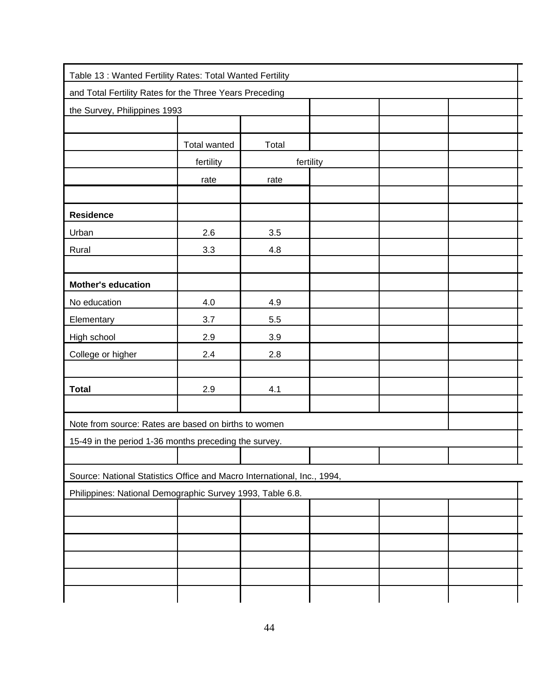| Table 13 : Wanted Fertility Rates: Total Wanted Fertility               |              |       |           |  |  |
|-------------------------------------------------------------------------|--------------|-------|-----------|--|--|
| and Total Fertility Rates for the Three Years Preceding                 |              |       |           |  |  |
| the Survey, Philippines 1993                                            |              |       |           |  |  |
|                                                                         |              |       |           |  |  |
|                                                                         | Total wanted | Total |           |  |  |
|                                                                         | fertility    |       | fertility |  |  |
|                                                                         | rate         | rate  |           |  |  |
|                                                                         |              |       |           |  |  |
| <b>Residence</b>                                                        |              |       |           |  |  |
| Urban                                                                   | 2.6          | 3.5   |           |  |  |
| Rural                                                                   | 3.3          | 4.8   |           |  |  |
|                                                                         |              |       |           |  |  |
| <b>Mother's education</b>                                               |              |       |           |  |  |
| No education                                                            | 4.0          | 4.9   |           |  |  |
| Elementary                                                              | 3.7          | 5.5   |           |  |  |
| High school                                                             | 2.9          | 3.9   |           |  |  |
| College or higher                                                       | 2.4          | 2.8   |           |  |  |
|                                                                         |              |       |           |  |  |
| <b>Total</b>                                                            | 2.9          | 4.1   |           |  |  |
|                                                                         |              |       |           |  |  |
| Note from source: Rates are based on births to women                    |              |       |           |  |  |
| 15-49 in the period 1-36 months preceding the survey.                   |              |       |           |  |  |
|                                                                         |              |       |           |  |  |
| Source: National Statistics Office and Macro International, Inc., 1994, |              |       |           |  |  |
| Philippines: National Demographic Survey 1993, Table 6.8.               |              |       |           |  |  |
|                                                                         |              |       |           |  |  |
|                                                                         |              |       |           |  |  |
|                                                                         |              |       |           |  |  |
|                                                                         |              |       |           |  |  |
|                                                                         |              |       |           |  |  |
|                                                                         |              |       |           |  |  |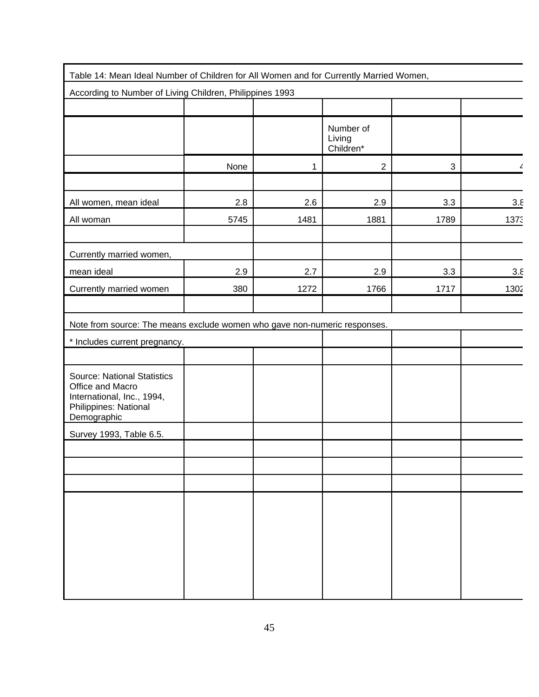| Table 14: Mean Ideal Number of Children for All Women and for Currently Married Women,                                       |      |      |                                  |      |      |
|------------------------------------------------------------------------------------------------------------------------------|------|------|----------------------------------|------|------|
| According to Number of Living Children, Philippines 1993                                                                     |      |      |                                  |      |      |
|                                                                                                                              |      |      |                                  |      |      |
|                                                                                                                              |      |      | Number of<br>Living<br>Children* |      |      |
|                                                                                                                              | None | 1    | $\overline{2}$                   | 3    |      |
|                                                                                                                              |      |      |                                  |      |      |
| All women, mean ideal                                                                                                        | 2.8  | 2.6  | 2.9                              | 3.3  | 3.8  |
| All woman                                                                                                                    | 5745 | 1481 | 1881                             | 1789 | 1373 |
|                                                                                                                              |      |      |                                  |      |      |
| Currently married women,                                                                                                     |      |      |                                  |      |      |
| mean ideal                                                                                                                   | 2.9  | 2.7  | 2.9                              | 3.3  | 3.8  |
| Currently married women                                                                                                      | 380  | 1272 | 1766                             | 1717 | 1302 |
|                                                                                                                              |      |      |                                  |      |      |
| Note from source: The means exclude women who gave non-numeric responses.                                                    |      |      |                                  |      |      |
| * Includes current pregnancy.                                                                                                |      |      |                                  |      |      |
|                                                                                                                              |      |      |                                  |      |      |
| <b>Source: National Statistics</b><br>Office and Macro<br>International, Inc., 1994,<br>Philippines: National<br>Demographic |      |      |                                  |      |      |
| Survey 1993, Table 6.5.                                                                                                      |      |      |                                  |      |      |
|                                                                                                                              |      |      |                                  |      |      |
|                                                                                                                              |      |      |                                  |      |      |
|                                                                                                                              |      |      |                                  |      |      |
|                                                                                                                              |      |      |                                  |      |      |
|                                                                                                                              |      |      |                                  |      |      |
|                                                                                                                              |      |      |                                  |      |      |
|                                                                                                                              |      |      |                                  |      |      |
|                                                                                                                              |      |      |                                  |      |      |
|                                                                                                                              |      |      |                                  |      |      |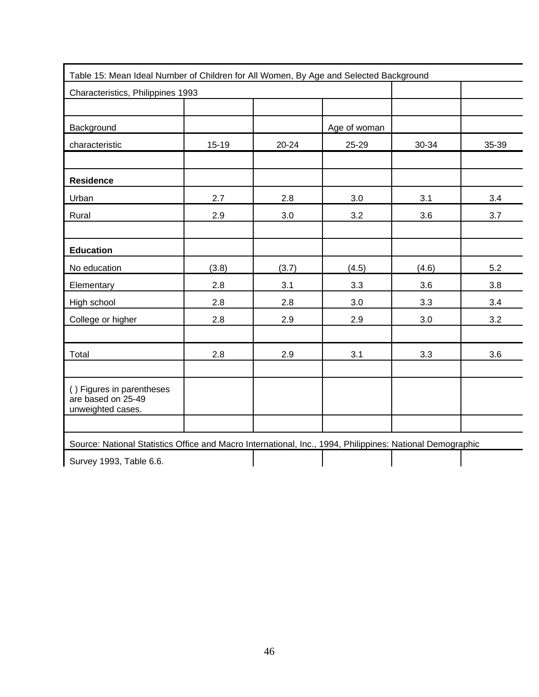| Table 15: Mean Ideal Number of Children for All Women, By Age and Selected Background |         |           |              |       |       |
|---------------------------------------------------------------------------------------|---------|-----------|--------------|-------|-------|
| Characteristics, Philippines 1993                                                     |         |           |              |       |       |
|                                                                                       |         |           |              |       |       |
| Background                                                                            |         |           | Age of woman |       |       |
| characteristic                                                                        | $15-19$ | $20 - 24$ | 25-29        | 30-34 | 35-39 |
|                                                                                       |         |           |              |       |       |
| <b>Residence</b>                                                                      |         |           |              |       |       |
| Urban                                                                                 | 2.7     | 2.8       | 3.0          | 3.1   | 3.4   |
| Rural                                                                                 | 2.9     | 3.0       | 3.2          | 3.6   | 3.7   |
|                                                                                       |         |           |              |       |       |
| <b>Education</b>                                                                      |         |           |              |       |       |
| No education                                                                          | (3.8)   | (3.7)     | (4.5)        | (4.6) | 5.2   |
| Elementary                                                                            | 2.8     | 3.1       | 3.3          | 3.6   | 3.8   |
| High school                                                                           | 2.8     | 2.8       | 3.0          | 3.3   | 3.4   |
| College or higher                                                                     | 2.8     | 2.9       | 2.9          | 3.0   | 3.2   |
|                                                                                       |         |           |              |       |       |
| Total                                                                                 | 2.8     | 2.9       | 3.1          | 3.3   | 3.6   |
|                                                                                       |         |           |              |       |       |
| () Figures in parentheses<br>are based on 25-49<br>unweighted cases.                  |         |           |              |       |       |
|                                                                                       |         |           |              |       |       |

Source: National Statistics Office and Macro International, Inc., 1994, Philippines: National Demographic

Survey 1993, Table 6.6.

46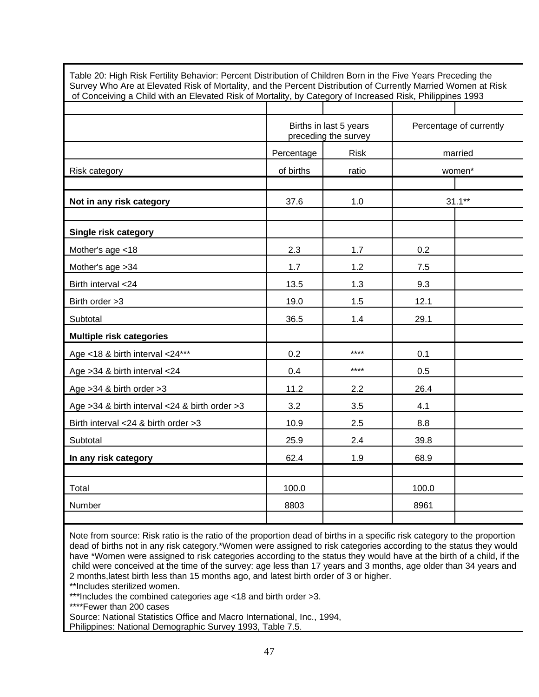| Survey Who Are at Elevated Risk of Mortality, and the Percent Distribution of Currently Married Women at Risk<br>of Conceiving a Child with an Elevated Risk of Mortality, by Category of Increased Risk, Philippines 1993 |            |                        |       |                         |
|----------------------------------------------------------------------------------------------------------------------------------------------------------------------------------------------------------------------------|------------|------------------------|-------|-------------------------|
|                                                                                                                                                                                                                            |            | Births in last 5 years |       | Percentage of currently |
|                                                                                                                                                                                                                            |            | preceding the survey   |       |                         |
|                                                                                                                                                                                                                            | Percentage | <b>Risk</b>            |       | married                 |
| Risk category                                                                                                                                                                                                              | of births  | ratio                  |       | women*                  |
| Not in any risk category                                                                                                                                                                                                   | 37.6       | 1.0                    |       | $31.1***$               |
| Single risk category                                                                                                                                                                                                       |            |                        |       |                         |
| Mother's age <18                                                                                                                                                                                                           | 2.3        | 1.7                    | 0.2   |                         |
| Mother's age > 34                                                                                                                                                                                                          | 1.7        | 1.2                    | 7.5   |                         |
| Birth interval <24                                                                                                                                                                                                         | 13.5       | 1.3                    | 9.3   |                         |
| Birth order >3                                                                                                                                                                                                             | 19.0       | 1.5                    | 12.1  |                         |
| Subtotal                                                                                                                                                                                                                   | 36.5       | 1.4                    | 29.1  |                         |
| <b>Multiple risk categories</b>                                                                                                                                                                                            |            |                        |       |                         |
| Age <18 & birth interval <24***                                                                                                                                                                                            | 0.2        | ****                   | 0.1   |                         |
| Age > 34 & birth interval < 24                                                                                                                                                                                             | 0.4        | ****                   | 0.5   |                         |
| Age $>34$ & birth order $>3$                                                                                                                                                                                               | 11.2       | 2.2                    | 26.4  |                         |
| Age > 34 & birth interval < 24 & birth order > 3                                                                                                                                                                           | 3.2        | 3.5                    | 4.1   |                         |
| Birth interval <24 & birth order >3                                                                                                                                                                                        | 10.9       | 2.5                    | 8.8   |                         |
| Subtotal                                                                                                                                                                                                                   | 25.9       | 2.4                    | 39.8  |                         |
| In any risk category                                                                                                                                                                                                       | 62.4       | 1.9                    | 68.9  |                         |
|                                                                                                                                                                                                                            |            |                        |       |                         |
| Total                                                                                                                                                                                                                      | 100.0      |                        | 100.0 |                         |
| Number                                                                                                                                                                                                                     | 8803       |                        | 8961  |                         |
|                                                                                                                                                                                                                            |            |                        |       |                         |

Table 20: High Risk Fertility Behavior: Percent Distribution of Children Born in the Five Years Preceding the

Note from source: Risk ratio is the ratio of the proportion dead of births in a specific risk category to the proportion dead of births not in any risk category.\*Women were assigned to risk categories according to the status they would have \*Women were assigned to risk categories according to the status they would have at the birth of a child, if the child were conceived at the time of the survey: age less than 17 years and 3 months, age older than 34 years and 2 months,latest birth less than 15 months ago, and latest birth order of 3 or higher.

\*\*Includes sterilized women.

\*\*\*Includes the combined categories age <18 and birth order >3.

\*\*\*\*Fewer than 200 cases

Source: National Statistics Office and Macro International, Inc., 1994,

Philippines: National Demographic Survey 1993, Table 7.5.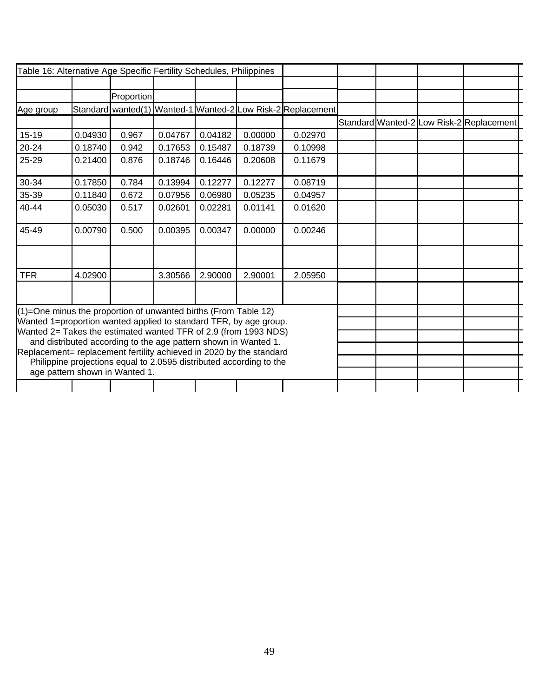| Table 16: Alternative Age Specific Fertility Schedules, Philippines |         |                                |         |         |                                                                     |                                                             |  |                                          |  |
|---------------------------------------------------------------------|---------|--------------------------------|---------|---------|---------------------------------------------------------------------|-------------------------------------------------------------|--|------------------------------------------|--|
|                                                                     |         |                                |         |         |                                                                     |                                                             |  |                                          |  |
|                                                                     |         | Proportion                     |         |         |                                                                     |                                                             |  |                                          |  |
| Age group                                                           |         |                                |         |         |                                                                     | Standard wanted(1) Wanted-1 Wanted-2 Low Risk-2 Replacement |  |                                          |  |
|                                                                     |         |                                |         |         |                                                                     |                                                             |  | Standard Wanted-2 Low Risk-2 Replacement |  |
| $15-19$                                                             | 0.04930 | 0.967                          | 0.04767 | 0.04182 | 0.00000                                                             | 0.02970                                                     |  |                                          |  |
| 20-24                                                               | 0.18740 | 0.942                          | 0.17653 | 0.15487 | 0.18739                                                             | 0.10998                                                     |  |                                          |  |
| 25-29                                                               | 0.21400 | 0.876                          | 0.18746 | 0.16446 | 0.20608                                                             | 0.11679                                                     |  |                                          |  |
| 30-34                                                               | 0.17850 | 0.784                          | 0.13994 | 0.12277 | 0.12277                                                             | 0.08719                                                     |  |                                          |  |
| 35-39                                                               | 0.11840 | 0.672                          | 0.07956 | 0.06980 | 0.05235                                                             | 0.04957                                                     |  |                                          |  |
| 40-44                                                               | 0.05030 | 0.517                          | 0.02601 | 0.02281 | 0.01141                                                             | 0.01620                                                     |  |                                          |  |
| 45-49                                                               | 0.00790 | 0.500                          | 0.00395 | 0.00347 | 0.00000                                                             | 0.00246                                                     |  |                                          |  |
|                                                                     |         |                                |         |         |                                                                     |                                                             |  |                                          |  |
| <b>TFR</b>                                                          | 4.02900 |                                | 3.30566 | 2.90000 | 2.90001                                                             | 2.05950                                                     |  |                                          |  |
|                                                                     |         |                                |         |         |                                                                     |                                                             |  |                                          |  |
| (1)=One minus the proportion of unwanted births (From Table 12)     |         |                                |         |         |                                                                     |                                                             |  |                                          |  |
| Wanted 1=proportion wanted applied to standard TFR, by age group.   |         |                                |         |         |                                                                     |                                                             |  |                                          |  |
| Wanted 2= Takes the estimated wanted TFR of 2.9 (from 1993 NDS)     |         |                                |         |         | and distributed according to the age pattern shown in Wanted 1.     |                                                             |  |                                          |  |
| Replacement= replacement fertility achieved in 2020 by the standard |         |                                |         |         |                                                                     |                                                             |  |                                          |  |
|                                                                     |         |                                |         |         | Philippine projections equal to 2.0595 distributed according to the |                                                             |  |                                          |  |
|                                                                     |         | age pattern shown in Wanted 1. |         |         |                                                                     |                                                             |  |                                          |  |
|                                                                     |         |                                |         |         |                                                                     |                                                             |  |                                          |  |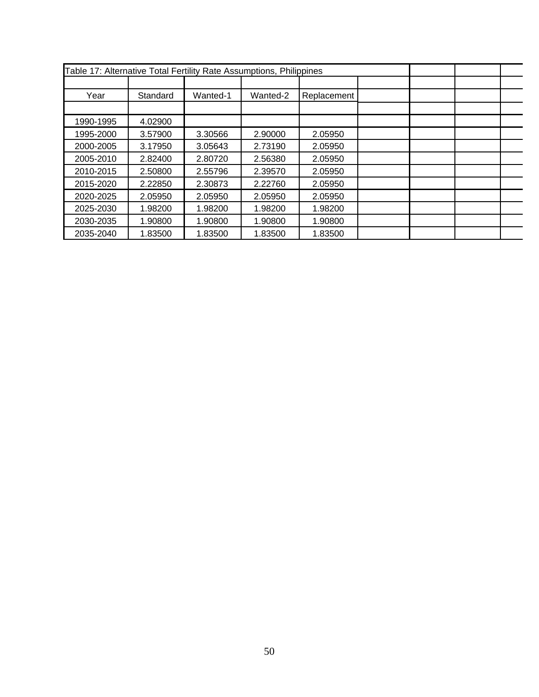| Table 17: Alternative Total Fertility Rate Assumptions, Philippines |          |          |          |             |  |  |
|---------------------------------------------------------------------|----------|----------|----------|-------------|--|--|
|                                                                     |          |          |          |             |  |  |
| Year                                                                | Standard | Wanted-1 | Wanted-2 | Replacement |  |  |
|                                                                     |          |          |          |             |  |  |
| 1990-1995                                                           | 4.02900  |          |          |             |  |  |
| 1995-2000                                                           | 3.57900  | 3.30566  | 2.90000  | 2.05950     |  |  |
| 2000-2005                                                           | 3.17950  | 3.05643  | 2.73190  | 2.05950     |  |  |
| 2005-2010                                                           | 2.82400  | 2.80720  | 2.56380  | 2.05950     |  |  |
| 2010-2015                                                           | 2.50800  | 2.55796  | 2.39570  | 2.05950     |  |  |
| 2015-2020                                                           | 2.22850  | 2.30873  | 2.22760  | 2.05950     |  |  |
| 2020-2025                                                           | 2.05950  | 2.05950  | 2.05950  | 2.05950     |  |  |
| 2025-2030                                                           | 1.98200  | 1.98200  | 1.98200  | 1.98200     |  |  |
| 2030-2035                                                           | 1.90800  | 1.90800  | 1.90800  | 1.90800     |  |  |
| 2035-2040                                                           | 1.83500  | 1.83500  | 1.83500  | 1.83500     |  |  |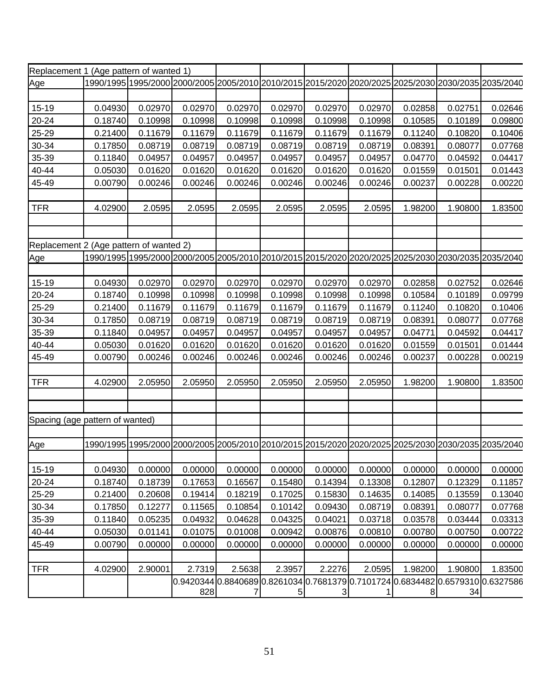| Replacement 1 (Age pattern of wanted 1) |         |         |         |         |                 |                                                                                                     |         |         |         |         |
|-----------------------------------------|---------|---------|---------|---------|-----------------|-----------------------------------------------------------------------------------------------------|---------|---------|---------|---------|
| Age                                     |         |         |         |         |                 | 1990/1995 1995/2000 2000/2005 2005/2010 2010/2015 2015/2020 2020/2025 2025/2030 2030/2035 2035/2040 |         |         |         |         |
|                                         |         |         |         |         |                 |                                                                                                     |         |         |         |         |
| 15-19                                   | 0.04930 | 0.02970 | 0.02970 | 0.02970 | 0.02970         | 0.02970                                                                                             | 0.02970 | 0.02858 | 0.02751 | 0.02646 |
| 20-24                                   | 0.18740 | 0.10998 | 0.10998 | 0.10998 | 0.10998         | 0.10998                                                                                             | 0.10998 | 0.10585 | 0.10189 | 0.09800 |
| 25-29                                   | 0.21400 | 0.11679 | 0.11679 | 0.11679 | 0.11679         | 0.11679                                                                                             | 0.11679 | 0.11240 | 0.10820 | 0.10406 |
| 30-34                                   | 0.17850 | 0.08719 | 0.08719 | 0.08719 | 0.08719         | 0.08719                                                                                             | 0.08719 | 0.08391 | 0.08077 | 0.07768 |
| 35-39                                   | 0.11840 | 0.04957 | 0.04957 | 0.04957 | 0.04957         | 0.04957                                                                                             | 0.04957 | 0.04770 | 0.04592 | 0.04417 |
| 40-44                                   | 0.05030 | 0.01620 | 0.01620 | 0.01620 | 0.01620         | 0.01620                                                                                             | 0.01620 | 0.01559 | 0.01501 | 0.01443 |
| 45-49                                   | 0.00790 | 0.00246 | 0.00246 | 0.00246 | 0.00246         | 0.00246                                                                                             | 0.00246 | 0.00237 | 0.00228 | 0.00220 |
|                                         |         |         |         |         |                 |                                                                                                     |         |         |         |         |
| <b>TFR</b>                              | 4.02900 | 2.0595  | 2.0595  | 2.0595  | 2.0595          | 2.0595                                                                                              | 2.0595  | 1.98200 | 1.90800 | 1.83500 |
|                                         |         |         |         |         |                 |                                                                                                     |         |         |         |         |
|                                         |         |         |         |         |                 |                                                                                                     |         |         |         |         |
| Replacement 2 (Age pattern of wanted 2) |         |         |         |         |                 |                                                                                                     |         |         |         |         |
| Age                                     |         |         |         |         |                 | 1990/1995 1995/2000 2000/2005 2005/2010 2010/2015 2015/2020 2020/2025 2025/2030 2030/2035 2035/2040 |         |         |         |         |
|                                         |         |         |         |         |                 |                                                                                                     |         |         |         |         |
| 15-19                                   | 0.04930 | 0.02970 | 0.02970 | 0.02970 | 0.02970         | 0.02970                                                                                             | 0.02970 | 0.02858 | 0.02752 | 0.02646 |
| 20-24                                   | 0.18740 | 0.10998 | 0.10998 | 0.10998 | 0.10998         | 0.10998                                                                                             | 0.10998 | 0.10584 | 0.10189 | 0.09799 |
| 25-29                                   | 0.21400 | 0.11679 | 0.11679 | 0.11679 | 0.11679         | 0.11679                                                                                             | 0.11679 | 0.11240 | 0.10820 | 0.10406 |
| 30-34                                   | 0.17850 | 0.08719 | 0.08719 | 0.08719 | 0.08719         | 0.08719                                                                                             | 0.08719 | 0.08391 | 0.08077 | 0.07768 |
| 35-39                                   | 0.11840 | 0.04957 | 0.04957 | 0.04957 | 0.04957         | 0.04957                                                                                             | 0.04957 | 0.04771 | 0.04592 | 0.04417 |
| 40-44                                   | 0.05030 | 0.01620 | 0.01620 | 0.01620 | 0.01620         | 0.01620                                                                                             | 0.01620 | 0.01559 | 0.01501 | 0.01444 |
| 45-49                                   | 0.00790 | 0.00246 | 0.00246 | 0.00246 | 0.00246         | 0.00246                                                                                             | 0.00246 | 0.00237 | 0.00228 | 0.00219 |
|                                         |         |         |         |         |                 |                                                                                                     |         |         |         |         |
| <b>TFR</b>                              | 4.02900 | 2.05950 | 2.05950 | 2.05950 | 2.05950         | 2.05950                                                                                             | 2.05950 | 1.98200 | 1.90800 | 1.83500 |
|                                         |         |         |         |         |                 |                                                                                                     |         |         |         |         |
|                                         |         |         |         |         |                 |                                                                                                     |         |         |         |         |
| Spacing (age pattern of wanted)         |         |         |         |         |                 |                                                                                                     |         |         |         |         |
|                                         |         |         |         |         |                 |                                                                                                     |         |         |         |         |
| <u>Age</u>                              |         |         |         |         |                 | 1990/1995 1995/2000 2000/2005 2005/2010 2010/2015 2015/2020 2020/2025 2025/2030 2030/2035 2035/2040 |         |         |         |         |
|                                         |         |         |         |         |                 |                                                                                                     |         |         |         |         |
| 15-19                                   | 0.04930 | 0.00000 | 0.00000 | 0.00000 | 0.00000         | 0.00000                                                                                             | 0.00000 | 0.00000 | 0.00000 | 0.00000 |
| 20-24                                   | 0.18740 | 0.18739 | 0.17653 | 0.16567 | 0.15480         | 0.14394                                                                                             | 0.13308 | 0.12807 | 0.12329 | 0.11857 |
| 25-29                                   | 0.21400 | 0.20608 | 0.19414 | 0.18219 | 0.17025         | 0.15830                                                                                             | 0.14635 | 0.14085 | 0.13559 | 0.13040 |
| 30-34                                   | 0.17850 | 0.12277 | 0.11565 | 0.10854 | 0.10142         | 0.09430                                                                                             | 0.08719 | 0.08391 | 0.08077 | 0.07768 |
| 35-39                                   | 0.11840 | 0.05235 | 0.04932 | 0.04628 | 0.04325         | 0.04021                                                                                             | 0.03718 | 0.03578 | 0.03444 | 0.03313 |
| 40-44                                   | 0.05030 | 0.01141 | 0.01075 | 0.01008 | 0.00942         | 0.00876                                                                                             | 0.00810 | 0.00780 | 0.00750 | 0.00722 |
| 45-49                                   | 0.00790 | 0.00000 | 0.00000 | 0.00000 | 0.00000         | 0.00000                                                                                             | 0.00000 | 0.00000 | 0.00000 | 0.00000 |
|                                         |         |         |         |         |                 |                                                                                                     |         |         |         |         |
| <b>TFR</b>                              | 4.02900 | 2.90001 | 2.7319  | 2.5638  | 2.3957          | 2.2276                                                                                              | 2.0595  | 1.98200 | 1.90800 | 1.83500 |
|                                         |         |         |         |         |                 | 0.94203440.88406890.82610340.76813790.71017240.68344820.65793100.6327586                            |         |         |         |         |
|                                         |         |         | 828     | 7       | $5\overline{)}$ | $\mathbf{3}$                                                                                        | 1       | 8       | 34      |         |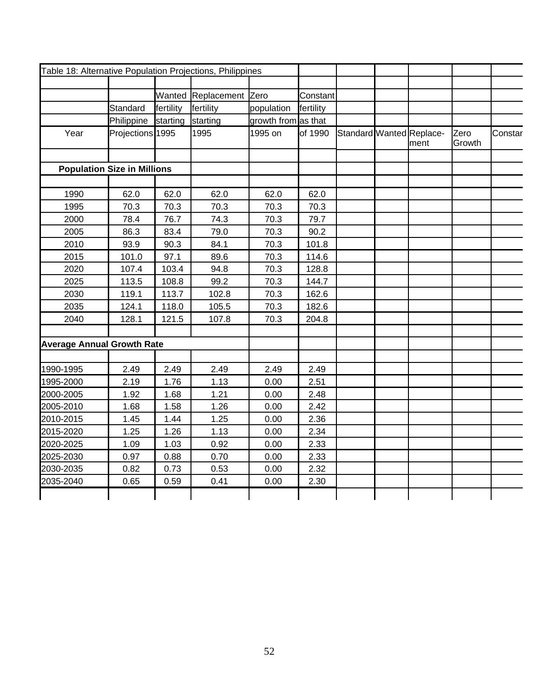| Table 18: Alternative Population Projections, Philippines |                                    |           |                         |                     |           |  |                                  |                |         |
|-----------------------------------------------------------|------------------------------------|-----------|-------------------------|---------------------|-----------|--|----------------------------------|----------------|---------|
|                                                           |                                    |           |                         |                     |           |  |                                  |                |         |
|                                                           |                                    |           | Wanted Replacement Zero |                     | Constant  |  |                                  |                |         |
|                                                           | Standard                           | fertility | fertility               | population          | fertility |  |                                  |                |         |
|                                                           | Philippine                         | starting  | starting                | growth from as that |           |  |                                  |                |         |
| Year                                                      | Projections 1995                   |           | 1995                    | 1995 on             | of 1990   |  | Standard Wanted Replace-<br>ment | Zero<br>Growth | Constar |
|                                                           |                                    |           |                         |                     |           |  |                                  |                |         |
|                                                           | <b>Population Size in Millions</b> |           |                         |                     |           |  |                                  |                |         |
| 1990                                                      | 62.0                               | 62.0      | 62.0                    | 62.0                | 62.0      |  |                                  |                |         |
| 1995                                                      | 70.3                               | 70.3      | 70.3                    | 70.3                | 70.3      |  |                                  |                |         |
| 2000                                                      | 78.4                               | 76.7      | 74.3                    | 70.3                | 79.7      |  |                                  |                |         |
| 2005                                                      | 86.3                               | 83.4      | 79.0                    | 70.3                | 90.2      |  |                                  |                |         |
| 2010                                                      | 93.9                               | 90.3      | 84.1                    | 70.3                | 101.8     |  |                                  |                |         |
| 2015                                                      | 101.0                              | 97.1      | 89.6                    | 70.3                | 114.6     |  |                                  |                |         |
| 2020                                                      | 107.4                              | 103.4     | 94.8                    | 70.3                | 128.8     |  |                                  |                |         |
| 2025                                                      | 113.5                              | 108.8     | 99.2                    | 70.3                | 144.7     |  |                                  |                |         |
| 2030                                                      | 119.1                              | 113.7     | 102.8                   | 70.3                | 162.6     |  |                                  |                |         |
| 2035                                                      | 124.1                              | 118.0     | 105.5                   | 70.3                | 182.6     |  |                                  |                |         |
| 2040                                                      | 128.1                              | 121.5     | 107.8                   | 70.3                | 204.8     |  |                                  |                |         |
|                                                           |                                    |           |                         |                     |           |  |                                  |                |         |
| <b>Average Annual Growth Rate</b>                         |                                    |           |                         |                     |           |  |                                  |                |         |
|                                                           |                                    |           |                         |                     |           |  |                                  |                |         |
| 1990-1995                                                 | 2.49                               | 2.49      | 2.49                    | 2.49                | 2.49      |  |                                  |                |         |
| 1995-2000                                                 | 2.19                               | 1.76      | 1.13                    | 0.00                | 2.51      |  |                                  |                |         |
| 2000-2005                                                 | 1.92                               | 1.68      | 1.21                    | 0.00                | 2.48      |  |                                  |                |         |
| 2005-2010                                                 | 1.68                               | 1.58      | 1.26                    | 0.00                | 2.42      |  |                                  |                |         |
| 2010-2015                                                 | 1.45                               | 1.44      | 1.25                    | 0.00                | 2.36      |  |                                  |                |         |
| 2015-2020                                                 | 1.25                               | 1.26      | 1.13                    | 0.00                | 2.34      |  |                                  |                |         |
| 2020-2025                                                 | 1.09                               | 1.03      | 0.92                    | 0.00                | 2.33      |  |                                  |                |         |
| 2025-2030                                                 | 0.97                               | 0.88      | 0.70                    | 0.00                | 2.33      |  |                                  |                |         |
| 2030-2035                                                 | 0.82                               | 0.73      | 0.53                    | 0.00                | 2.32      |  |                                  |                |         |
| 2035-2040                                                 | 0.65                               | 0.59      | 0.41                    | 0.00                | 2.30      |  |                                  |                |         |
|                                                           |                                    |           |                         |                     |           |  |                                  |                |         |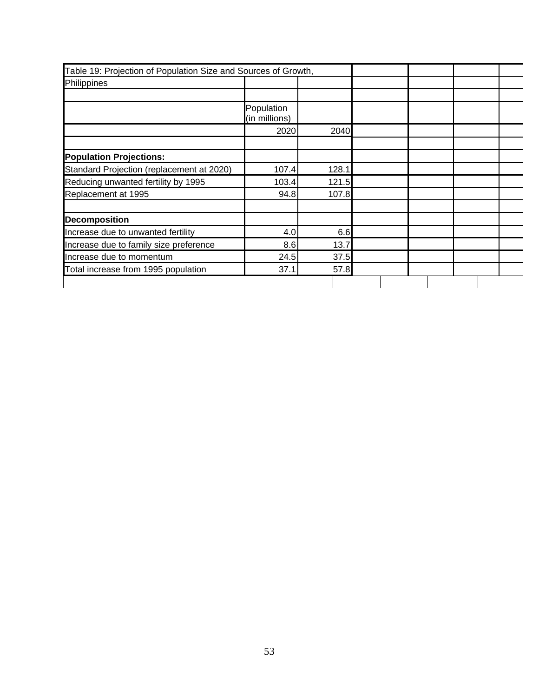| Table 19: Projection of Population Size and Sources of Growth, |                             |       |  |  |  |
|----------------------------------------------------------------|-----------------------------|-------|--|--|--|
| Philippines                                                    |                             |       |  |  |  |
|                                                                |                             |       |  |  |  |
|                                                                | Population<br>(in millions) |       |  |  |  |
|                                                                | 2020                        | 2040  |  |  |  |
| <b>Population Projections:</b>                                 |                             |       |  |  |  |
| Standard Projection (replacement at 2020)                      | 107.4                       | 128.1 |  |  |  |
| Reducing unwanted fertility by 1995                            | 103.4                       | 121.5 |  |  |  |
| Replacement at 1995                                            | 94.8                        | 107.8 |  |  |  |
| <b>Decomposition</b>                                           |                             |       |  |  |  |
| Increase due to unwanted fertility                             | 4.0                         | 6.6   |  |  |  |
| Increase due to family size preference                         | 8.6                         | 13.7  |  |  |  |
| Increase due to momentum                                       | 24.5                        | 37.5  |  |  |  |
| Total increase from 1995 population                            | 37.1                        | 57.8  |  |  |  |
|                                                                |                             |       |  |  |  |